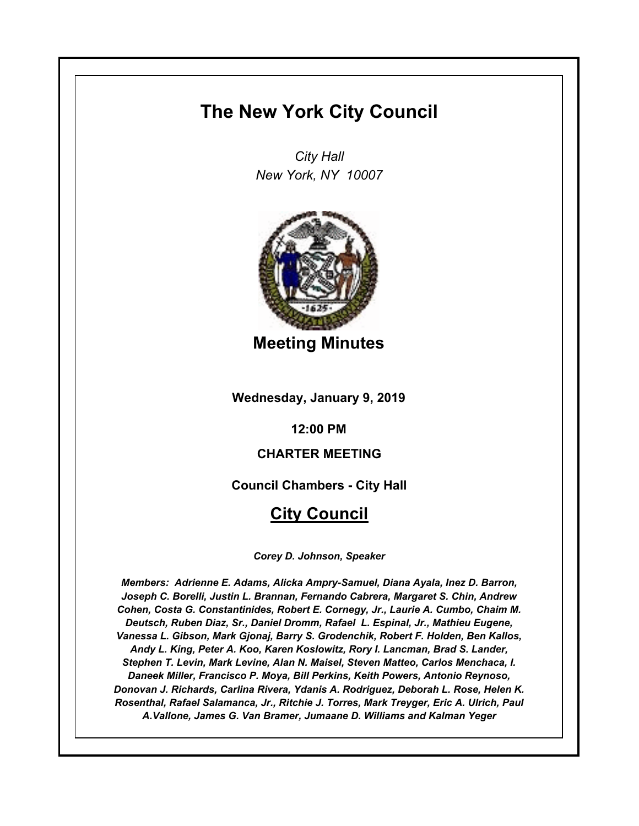# **The New York City Council**

*City Hall New York, NY 10007*



**Meeting Minutes**

**Wednesday, January 9, 2019**

**12:00 PM**

# **CHARTER MEETING**

**Council Chambers - City Hall**

# **City Council**

*Corey D. Johnson, Speaker*

*Members: Adrienne E. Adams, Alicka Ampry-Samuel, Diana Ayala, Inez D. Barron, Joseph C. Borelli, Justin L. Brannan, Fernando Cabrera, Margaret S. Chin, Andrew Cohen, Costa G. Constantinides, Robert E. Cornegy, Jr., Laurie A. Cumbo, Chaim M. Deutsch, Ruben Diaz, Sr., Daniel Dromm, Rafael L. Espinal, Jr., Mathieu Eugene, Vanessa L. Gibson, Mark Gjonaj, Barry S. Grodenchik, Robert F. Holden, Ben Kallos, Andy L. King, Peter A. Koo, Karen Koslowitz, Rory I. Lancman, Brad S. Lander, Stephen T. Levin, Mark Levine, Alan N. Maisel, Steven Matteo, Carlos Menchaca, I. Daneek Miller, Francisco P. Moya, Bill Perkins, Keith Powers, Antonio Reynoso, Donovan J. Richards, Carlina Rivera, Ydanis A. Rodriguez, Deborah L. Rose, Helen K. Rosenthal, Rafael Salamanca, Jr., Ritchie J. Torres, Mark Treyger, Eric A. Ulrich, Paul A.Vallone, James G. Van Bramer, Jumaane D. Williams and Kalman Yeger*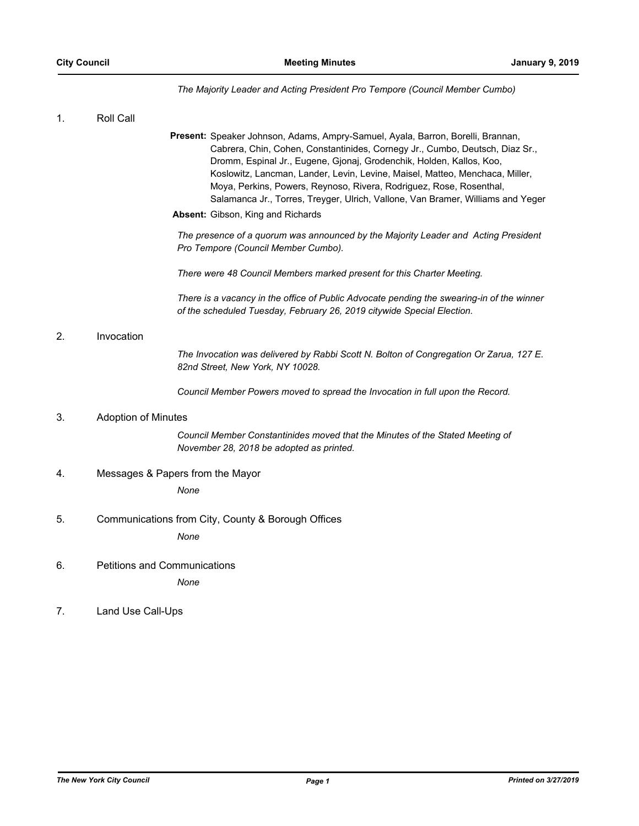# *The Majority Leader and Acting President Pro Tempore (Council Member Cumbo)*

| 1. | Roll Call                                                                                                                                                                                                                                                                                                                                                                                                                                                                                                              |
|----|------------------------------------------------------------------------------------------------------------------------------------------------------------------------------------------------------------------------------------------------------------------------------------------------------------------------------------------------------------------------------------------------------------------------------------------------------------------------------------------------------------------------|
|    | Present: Speaker Johnson, Adams, Ampry-Samuel, Ayala, Barron, Borelli, Brannan,<br>Cabrera, Chin, Cohen, Constantinides, Cornegy Jr., Cumbo, Deutsch, Diaz Sr.,<br>Dromm, Espinal Jr., Eugene, Gjonaj, Grodenchik, Holden, Kallos, Koo,<br>Koslowitz, Lancman, Lander, Levin, Levine, Maisel, Matteo, Menchaca, Miller,<br>Moya, Perkins, Powers, Reynoso, Rivera, Rodriguez, Rose, Rosenthal,<br>Salamanca Jr., Torres, Treyger, Ulrich, Vallone, Van Bramer, Williams and Yeger<br>Absent: Gibson, King and Richards |
|    | The presence of a quorum was announced by the Majority Leader and Acting President<br>Pro Tempore (Council Member Cumbo).                                                                                                                                                                                                                                                                                                                                                                                              |
|    | There were 48 Council Members marked present for this Charter Meeting.                                                                                                                                                                                                                                                                                                                                                                                                                                                 |
|    | There is a vacancy in the office of Public Advocate pending the swearing-in of the winner<br>of the scheduled Tuesday, February 26, 2019 citywide Special Election.                                                                                                                                                                                                                                                                                                                                                    |
| 2. | Invocation                                                                                                                                                                                                                                                                                                                                                                                                                                                                                                             |
|    | The Invocation was delivered by Rabbi Scott N. Bolton of Congregation Or Zarua, 127 E.<br>82nd Street, New York, NY 10028.                                                                                                                                                                                                                                                                                                                                                                                             |
|    | Council Member Powers moved to spread the Invocation in full upon the Record.                                                                                                                                                                                                                                                                                                                                                                                                                                          |
| 3. | <b>Adoption of Minutes</b>                                                                                                                                                                                                                                                                                                                                                                                                                                                                                             |
|    | Council Member Constantinides moved that the Minutes of the Stated Meeting of<br>November 28, 2018 be adopted as printed.                                                                                                                                                                                                                                                                                                                                                                                              |
| 4. | Messages & Papers from the Mayor                                                                                                                                                                                                                                                                                                                                                                                                                                                                                       |
|    | None                                                                                                                                                                                                                                                                                                                                                                                                                                                                                                                   |
| 5. | Communications from City, County & Borough Offices                                                                                                                                                                                                                                                                                                                                                                                                                                                                     |
|    | None                                                                                                                                                                                                                                                                                                                                                                                                                                                                                                                   |
| 6. | <b>Petitions and Communications</b>                                                                                                                                                                                                                                                                                                                                                                                                                                                                                    |
|    | None                                                                                                                                                                                                                                                                                                                                                                                                                                                                                                                   |
| 7. | Land Use Call-Ups                                                                                                                                                                                                                                                                                                                                                                                                                                                                                                      |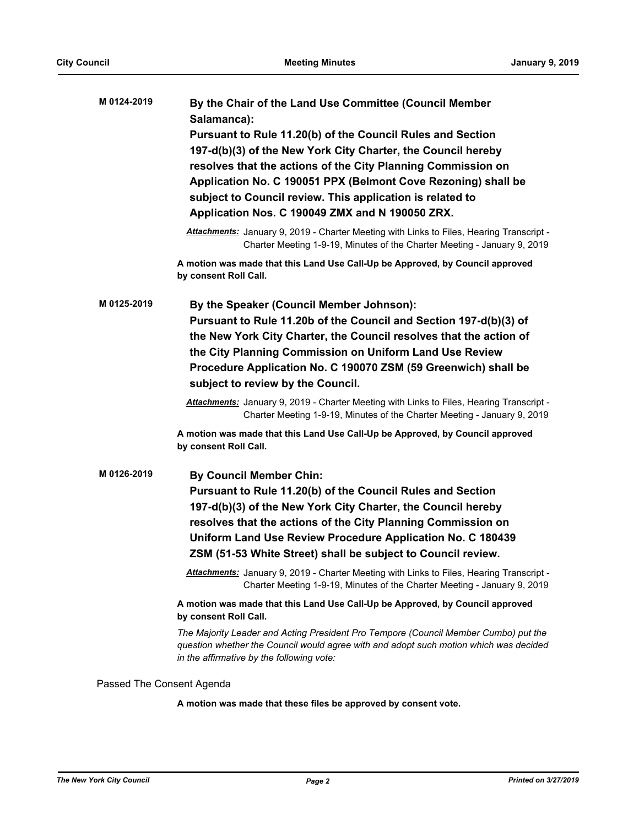| M 0124-2019               | By the Chair of the Land Use Committee (Council Member<br>Salamanca):                                                                                                                                                     |
|---------------------------|---------------------------------------------------------------------------------------------------------------------------------------------------------------------------------------------------------------------------|
|                           | Pursuant to Rule 11.20(b) of the Council Rules and Section                                                                                                                                                                |
|                           | 197-d(b)(3) of the New York City Charter, the Council hereby                                                                                                                                                              |
|                           | resolves that the actions of the City Planning Commission on                                                                                                                                                              |
|                           | Application No. C 190051 PPX (Belmont Cove Rezoning) shall be                                                                                                                                                             |
|                           | subject to Council review. This application is related to                                                                                                                                                                 |
|                           | Application Nos. C 190049 ZMX and N 190050 ZRX.                                                                                                                                                                           |
|                           | Attachments: January 9, 2019 - Charter Meeting with Links to Files, Hearing Transcript -<br>Charter Meeting 1-9-19, Minutes of the Charter Meeting - January 9, 2019                                                      |
|                           | A motion was made that this Land Use Call-Up be Approved, by Council approved<br>by consent Roll Call.                                                                                                                    |
| M 0125-2019               | By the Speaker (Council Member Johnson):                                                                                                                                                                                  |
|                           | Pursuant to Rule 11.20b of the Council and Section 197-d(b)(3) of                                                                                                                                                         |
|                           | the New York City Charter, the Council resolves that the action of                                                                                                                                                        |
|                           | the City Planning Commission on Uniform Land Use Review                                                                                                                                                                   |
|                           | Procedure Application No. C 190070 ZSM (59 Greenwich) shall be                                                                                                                                                            |
|                           | subject to review by the Council.                                                                                                                                                                                         |
|                           | Attachments: January 9, 2019 - Charter Meeting with Links to Files, Hearing Transcript -<br>Charter Meeting 1-9-19, Minutes of the Charter Meeting - January 9, 2019                                                      |
|                           | A motion was made that this Land Use Call-Up be Approved, by Council approved<br>by consent Roll Call.                                                                                                                    |
| M 0126-2019               | <b>By Council Member Chin:</b>                                                                                                                                                                                            |
|                           | Pursuant to Rule 11.20(b) of the Council Rules and Section                                                                                                                                                                |
|                           | 197-d(b)(3) of the New York City Charter, the Council hereby                                                                                                                                                              |
|                           | resolves that the actions of the City Planning Commission on                                                                                                                                                              |
|                           | Uniform Land Use Review Procedure Application No. C 180439                                                                                                                                                                |
|                           | ZSM (51-53 White Street) shall be subject to Council review.                                                                                                                                                              |
|                           | Attachments: January 9, 2019 - Charter Meeting with Links to Files, Hearing Transcript -<br>Charter Meeting 1-9-19, Minutes of the Charter Meeting - January 9, 2019                                                      |
|                           | A motion was made that this Land Use Call-Up be Approved, by Council approved<br>by consent Roll Call.                                                                                                                    |
|                           | The Majority Leader and Acting President Pro Tempore (Council Member Cumbo) put the<br>question whether the Council would agree with and adopt such motion which was decided<br>in the affirmative by the following vote: |
| Passed The Consent Agenda |                                                                                                                                                                                                                           |

**A motion was made that these files be approved by consent vote.**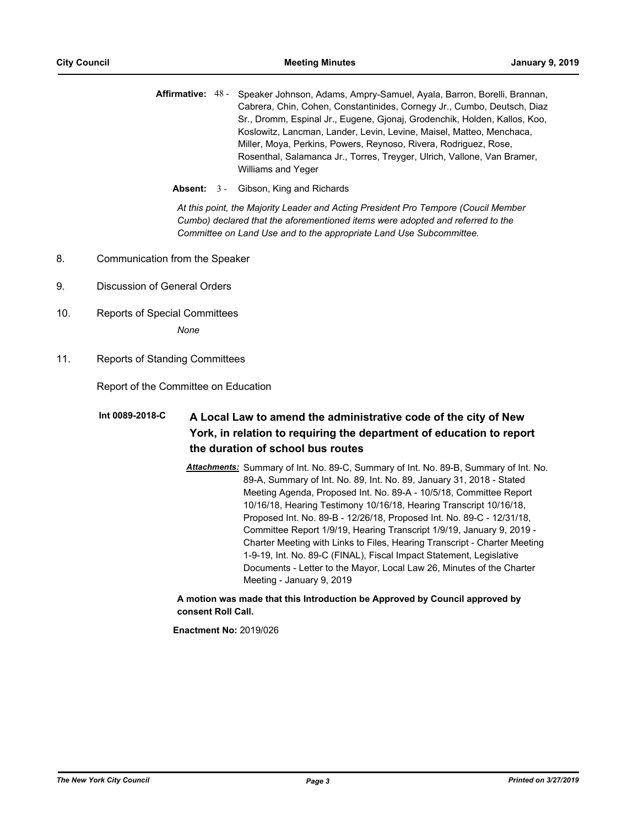- Affirmative: 48 Speaker Johnson, Adams, Ampry-Samuel, Ayala, Barron, Borelli, Brannan, Cabrera, Chin, Cohen, Constantinides, Cornegy Jr., Cumbo, Deutsch, Diaz Sr., Dromm, Espinal Jr., Eugene, Gjonaj, Grodenchik, Holden, Kallos, Koo, Koslowitz, Lancman, Lander, Levin, Levine, Maisel, Matteo, Menchaca, Miller, Moya, Perkins, Powers, Reynoso, Rivera, Rodriguez, Rose, Rosenthal, Salamanca Jr., Torres, Treyger, Ulrich, Vallone, Van Bramer, Williams and Yeger
	- **Absent:** 3 Gibson, King and Richards

*At this point, the Majority Leader and Acting President Pro Tempore (Coucil Member Cumbo) declared that the aforementioned items were adopted and referred to the Committee on Land Use and to the appropriate Land Use Subcommittee.*

- 8. Communication from the Speaker
- 9. Discussion of General Orders
- 10. Reports of Special Committees

*None*

11. Reports of Standing Committees

Report of the Committee on Education

#### **A Local Law to amend the administrative code of the city of New York, in relation to requiring the department of education to report the duration of school bus routes Int 0089-2018-C**

*Attachments:* Summary of Int. No. 89-C, Summary of Int. No. 89-B, Summary of Int. No. 89-A, Summary of Int. No. 89, Int. No. 89, January 31, 2018 - Stated Meeting Agenda, Proposed Int. No. 89-A - 10/5/18, Committee Report 10/16/18, Hearing Testimony 10/16/18, Hearing Transcript 10/16/18, Proposed Int. No. 89-B - 12/26/18, Proposed Int. No. 89-C - 12/31/18, Committee Report 1/9/19, Hearing Transcript 1/9/19, January 9, 2019 - Charter Meeting with Links to Files, Hearing Transcript - Charter Meeting 1-9-19, Int. No. 89-C (FINAL), Fiscal Impact Statement, Legislative Documents - Letter to the Mayor, Local Law 26, Minutes of the Charter Meeting - January 9, 2019

## **A motion was made that this Introduction be Approved by Council approved by consent Roll Call.**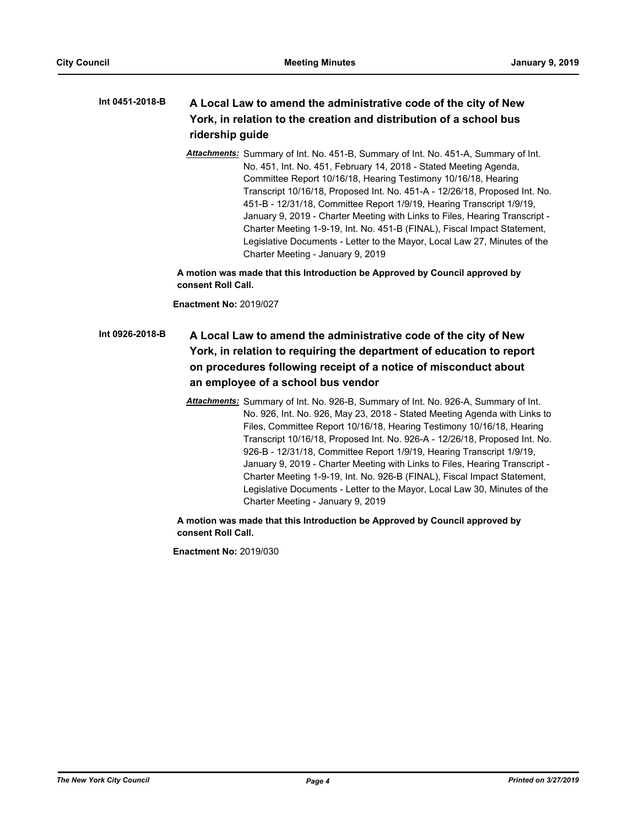#### **A Local Law to amend the administrative code of the city of New York, in relation to the creation and distribution of a school bus ridership guide Int 0451-2018-B**

*Attachments:* Summary of Int. No. 451-B, Summary of Int. No. 451-A, Summary of Int. No. 451, Int. No. 451, February 14, 2018 - Stated Meeting Agenda, Committee Report 10/16/18, Hearing Testimony 10/16/18, Hearing Transcript 10/16/18, Proposed Int. No. 451-A - 12/26/18, Proposed Int. No. 451-B - 12/31/18, Committee Report 1/9/19, Hearing Transcript 1/9/19, January 9, 2019 - Charter Meeting with Links to Files, Hearing Transcript - Charter Meeting 1-9-19, Int. No. 451-B (FINAL), Fiscal Impact Statement, Legislative Documents - Letter to the Mayor, Local Law 27, Minutes of the Charter Meeting - January 9, 2019

**A motion was made that this Introduction be Approved by Council approved by consent Roll Call.**

**Enactment No:** 2019/027

# **A Local Law to amend the administrative code of the city of New York, in relation to requiring the department of education to report on procedures following receipt of a notice of misconduct about an employee of a school bus vendor Int 0926-2018-B**

*Attachments:* Summary of Int. No. 926-B, Summary of Int. No. 926-A, Summary of Int. No. 926, Int. No. 926, May 23, 2018 - Stated Meeting Agenda with Links to Files, Committee Report 10/16/18, Hearing Testimony 10/16/18, Hearing Transcript 10/16/18, Proposed Int. No. 926-A - 12/26/18, Proposed Int. No. 926-B - 12/31/18, Committee Report 1/9/19, Hearing Transcript 1/9/19, January 9, 2019 - Charter Meeting with Links to Files, Hearing Transcript - Charter Meeting 1-9-19, Int. No. 926-B (FINAL), Fiscal Impact Statement, Legislative Documents - Letter to the Mayor, Local Law 30, Minutes of the Charter Meeting - January 9, 2019

**A motion was made that this Introduction be Approved by Council approved by consent Roll Call.**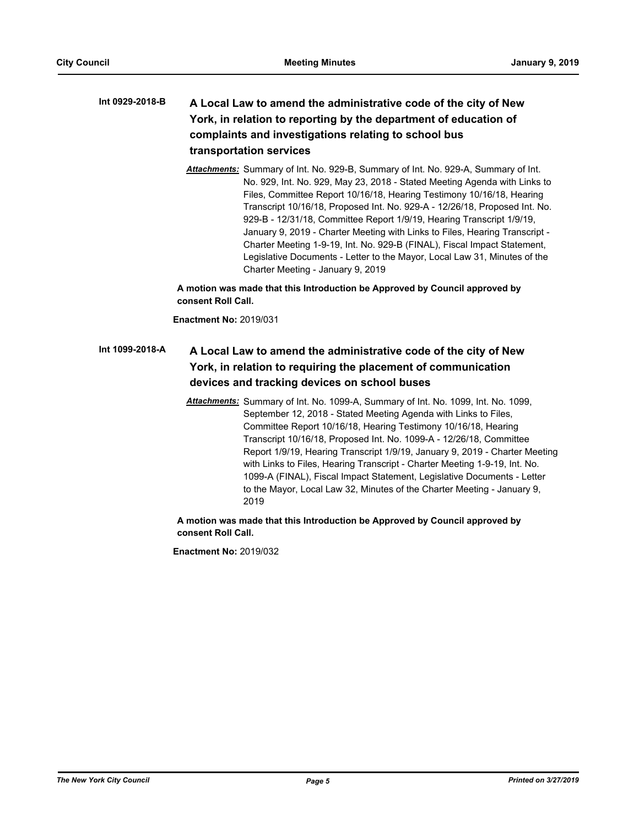## **A Local Law to amend the administrative code of the city of New York, in relation to reporting by the department of education of complaints and investigations relating to school bus transportation services Int 0929-2018-B**

*Attachments:* Summary of Int. No. 929-B, Summary of Int. No. 929-A, Summary of Int. No. 929, Int. No. 929, May 23, 2018 - Stated Meeting Agenda with Links to Files, Committee Report 10/16/18, Hearing Testimony 10/16/18, Hearing Transcript 10/16/18, Proposed Int. No. 929-A - 12/26/18, Proposed Int. No. 929-B - 12/31/18, Committee Report 1/9/19, Hearing Transcript 1/9/19, January 9, 2019 - Charter Meeting with Links to Files, Hearing Transcript - Charter Meeting 1-9-19, Int. No. 929-B (FINAL), Fiscal Impact Statement, Legislative Documents - Letter to the Mayor, Local Law 31, Minutes of the Charter Meeting - January 9, 2019

**A motion was made that this Introduction be Approved by Council approved by consent Roll Call.**

**Enactment No:** 2019/031

#### **A Local Law to amend the administrative code of the city of New York, in relation to requiring the placement of communication devices and tracking devices on school buses Int 1099-2018-A**

*Attachments:* Summary of Int. No. 1099-A, Summary of Int. No. 1099, Int. No. 1099, September 12, 2018 - Stated Meeting Agenda with Links to Files, Committee Report 10/16/18, Hearing Testimony 10/16/18, Hearing Transcript 10/16/18, Proposed Int. No. 1099-A - 12/26/18, Committee Report 1/9/19, Hearing Transcript 1/9/19, January 9, 2019 - Charter Meeting with Links to Files, Hearing Transcript - Charter Meeting 1-9-19, Int. No. 1099-A (FINAL), Fiscal Impact Statement, Legislative Documents - Letter to the Mayor, Local Law 32, Minutes of the Charter Meeting - January 9, 2019

**A motion was made that this Introduction be Approved by Council approved by consent Roll Call.**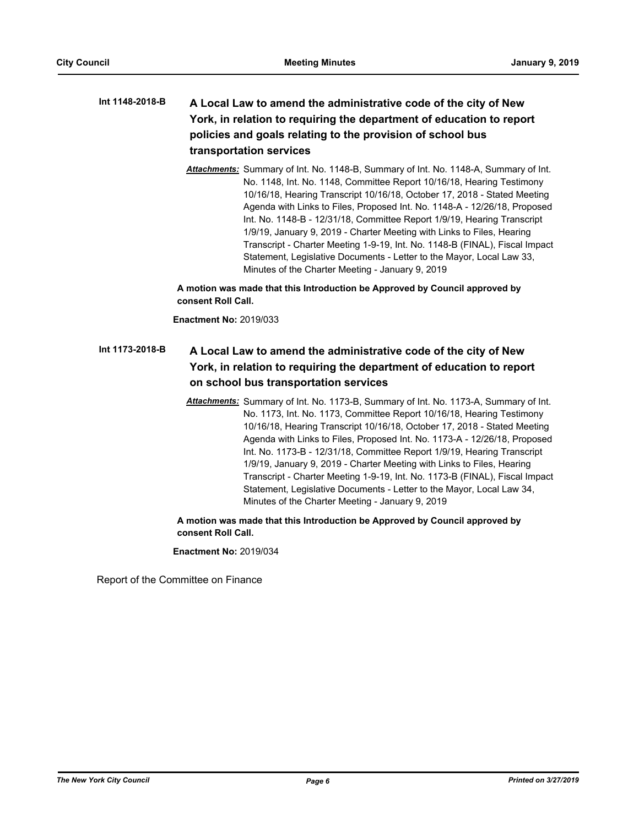## **A Local Law to amend the administrative code of the city of New York, in relation to requiring the department of education to report policies and goals relating to the provision of school bus transportation services Int 1148-2018-B**

*Attachments:* Summary of Int. No. 1148-B, Summary of Int. No. 1148-A, Summary of Int. No. 1148, Int. No. 1148, Committee Report 10/16/18, Hearing Testimony 10/16/18, Hearing Transcript 10/16/18, October 17, 2018 - Stated Meeting Agenda with Links to Files, Proposed Int. No. 1148-A - 12/26/18, Proposed Int. No. 1148-B - 12/31/18, Committee Report 1/9/19, Hearing Transcript 1/9/19, January 9, 2019 - Charter Meeting with Links to Files, Hearing Transcript - Charter Meeting 1-9-19, Int. No. 1148-B (FINAL), Fiscal Impact Statement, Legislative Documents - Letter to the Mayor, Local Law 33, Minutes of the Charter Meeting - January 9, 2019

**A motion was made that this Introduction be Approved by Council approved by consent Roll Call.**

**Enactment No:** 2019/033

#### **A Local Law to amend the administrative code of the city of New York, in relation to requiring the department of education to report on school bus transportation services Int 1173-2018-B**

*Attachments:* Summary of Int. No. 1173-B, Summary of Int. No. 1173-A, Summary of Int. No. 1173, Int. No. 1173, Committee Report 10/16/18, Hearing Testimony 10/16/18, Hearing Transcript 10/16/18, October 17, 2018 - Stated Meeting Agenda with Links to Files, Proposed Int. No. 1173-A - 12/26/18, Proposed Int. No. 1173-B - 12/31/18, Committee Report 1/9/19, Hearing Transcript 1/9/19, January 9, 2019 - Charter Meeting with Links to Files, Hearing Transcript - Charter Meeting 1-9-19, Int. No. 1173-B (FINAL), Fiscal Impact Statement, Legislative Documents - Letter to the Mayor, Local Law 34, Minutes of the Charter Meeting - January 9, 2019

**A motion was made that this Introduction be Approved by Council approved by consent Roll Call.**

**Enactment No:** 2019/034

Report of the Committee on Finance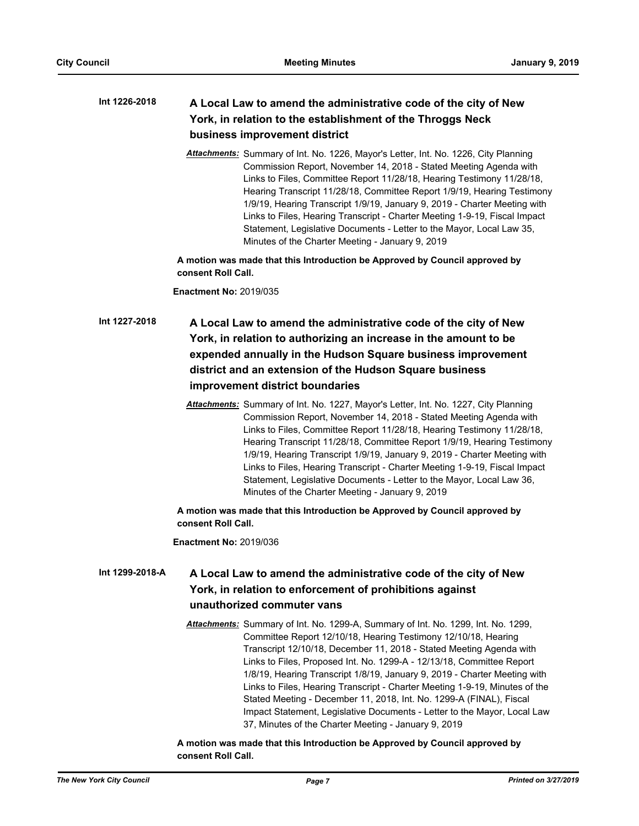#### **A Local Law to amend the administrative code of the city of New York, in relation to the establishment of the Throggs Neck business improvement district Int 1226-2018**

*Attachments:* Summary of Int. No. 1226, Mayor's Letter, Int. No. 1226, City Planning Commission Report, November 14, 2018 - Stated Meeting Agenda with Links to Files, Committee Report 11/28/18, Hearing Testimony 11/28/18, Hearing Transcript 11/28/18, Committee Report 1/9/19, Hearing Testimony 1/9/19, Hearing Transcript 1/9/19, January 9, 2019 - Charter Meeting with Links to Files, Hearing Transcript - Charter Meeting 1-9-19, Fiscal Impact Statement, Legislative Documents - Letter to the Mayor, Local Law 35, Minutes of the Charter Meeting - January 9, 2019

**A motion was made that this Introduction be Approved by Council approved by consent Roll Call.**

**Enactment No:** 2019/035

# **A Local Law to amend the administrative code of the city of New York, in relation to authorizing an increase in the amount to be expended annually in the Hudson Square business improvement district and an extension of the Hudson Square business improvement district boundaries Int 1227-2018**

*Attachments:* Summary of Int. No. 1227, Mayor's Letter, Int. No. 1227, City Planning Commission Report, November 14, 2018 - Stated Meeting Agenda with Links to Files, Committee Report 11/28/18, Hearing Testimony 11/28/18, Hearing Transcript 11/28/18, Committee Report 1/9/19, Hearing Testimony 1/9/19, Hearing Transcript 1/9/19, January 9, 2019 - Charter Meeting with Links to Files, Hearing Transcript - Charter Meeting 1-9-19, Fiscal Impact Statement, Legislative Documents - Letter to the Mayor, Local Law 36, Minutes of the Charter Meeting - January 9, 2019

**A motion was made that this Introduction be Approved by Council approved by consent Roll Call.**

**Enactment No:** 2019/036

#### **A Local Law to amend the administrative code of the city of New York, in relation to enforcement of prohibitions against unauthorized commuter vans Int 1299-2018-A**

*Attachments:* Summary of Int. No. 1299-A, Summary of Int. No. 1299, Int. No. 1299, Committee Report 12/10/18, Hearing Testimony 12/10/18, Hearing Transcript 12/10/18, December 11, 2018 - Stated Meeting Agenda with Links to Files, Proposed Int. No. 1299-A - 12/13/18, Committee Report 1/8/19, Hearing Transcript 1/8/19, January 9, 2019 - Charter Meeting with Links to Files, Hearing Transcript - Charter Meeting 1-9-19, Minutes of the Stated Meeting - December 11, 2018, Int. No. 1299-A (FINAL), Fiscal Impact Statement, Legislative Documents - Letter to the Mayor, Local Law 37, Minutes of the Charter Meeting - January 9, 2019

#### **A motion was made that this Introduction be Approved by Council approved by consent Roll Call.**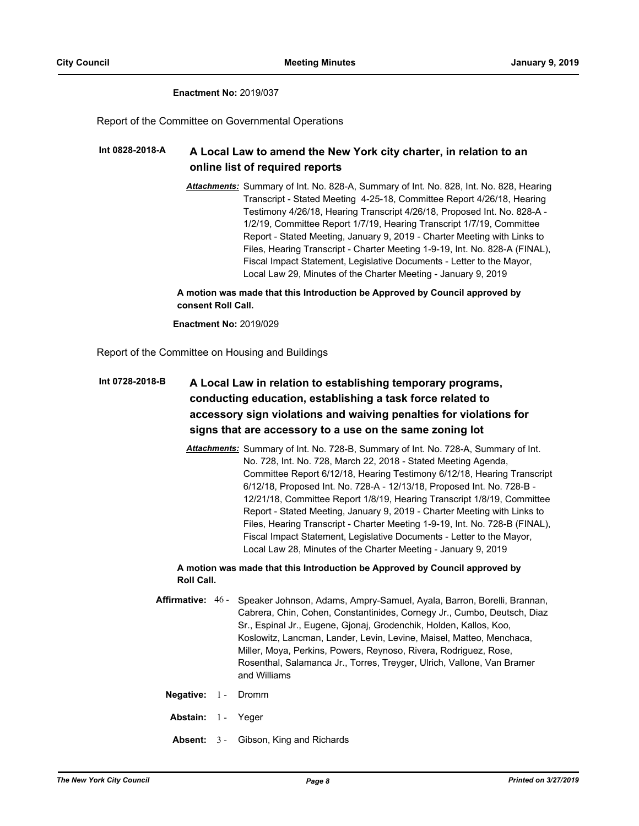#### **Enactment No:** 2019/037

Report of the Committee on Governmental Operations

#### **A Local Law to amend the New York city charter, in relation to an online list of required reports Int 0828-2018-A**

*Attachments:* Summary of Int. No. 828-A, Summary of Int. No. 828, Int. No. 828, Hearing Transcript - Stated Meeting 4-25-18, Committee Report 4/26/18, Hearing Testimony 4/26/18, Hearing Transcript 4/26/18, Proposed Int. No. 828-A - 1/2/19, Committee Report 1/7/19, Hearing Transcript 1/7/19, Committee Report - Stated Meeting, January 9, 2019 - Charter Meeting with Links to Files, Hearing Transcript - Charter Meeting 1-9-19, Int. No. 828-A (FINAL), Fiscal Impact Statement, Legislative Documents - Letter to the Mayor, Local Law 29, Minutes of the Charter Meeting - January 9, 2019

**A motion was made that this Introduction be Approved by Council approved by consent Roll Call.**

**Enactment No:** 2019/029

Report of the Committee on Housing and Buildings

## **A Local Law in relation to establishing temporary programs, conducting education, establishing a task force related to accessory sign violations and waiving penalties for violations for signs that are accessory to a use on the same zoning lot Int 0728-2018-B**

*Attachments:* Summary of Int. No. 728-B, Summary of Int. No. 728-A, Summary of Int. No. 728, Int. No. 728, March 22, 2018 - Stated Meeting Agenda, Committee Report 6/12/18, Hearing Testimony 6/12/18, Hearing Transcript 6/12/18, Proposed Int. No. 728-A - 12/13/18, Proposed Int. No. 728-B - 12/21/18, Committee Report 1/8/19, Hearing Transcript 1/8/19, Committee Report - Stated Meeting, January 9, 2019 - Charter Meeting with Links to Files, Hearing Transcript - Charter Meeting 1-9-19, Int. No. 728-B (FINAL), Fiscal Impact Statement, Legislative Documents - Letter to the Mayor, Local Law 28, Minutes of the Charter Meeting - January 9, 2019

#### **A motion was made that this Introduction be Approved by Council approved by Roll Call.**

- Affirmative: 46 Speaker Johnson, Adams, Ampry-Samuel, Ayala, Barron, Borelli, Brannan, Cabrera, Chin, Cohen, Constantinides, Cornegy Jr., Cumbo, Deutsch, Diaz Sr., Espinal Jr., Eugene, Gjonaj, Grodenchik, Holden, Kallos, Koo, Koslowitz, Lancman, Lander, Levin, Levine, Maisel, Matteo, Menchaca, Miller, Moya, Perkins, Powers, Reynoso, Rivera, Rodriguez, Rose, Rosenthal, Salamanca Jr., Torres, Treyger, Ulrich, Vallone, Van Bramer and Williams
	- **Negative:** 1 Dromm
	- **Abstain:** 1 Yeger
	- **Absent:** 3 Gibson, King and Richards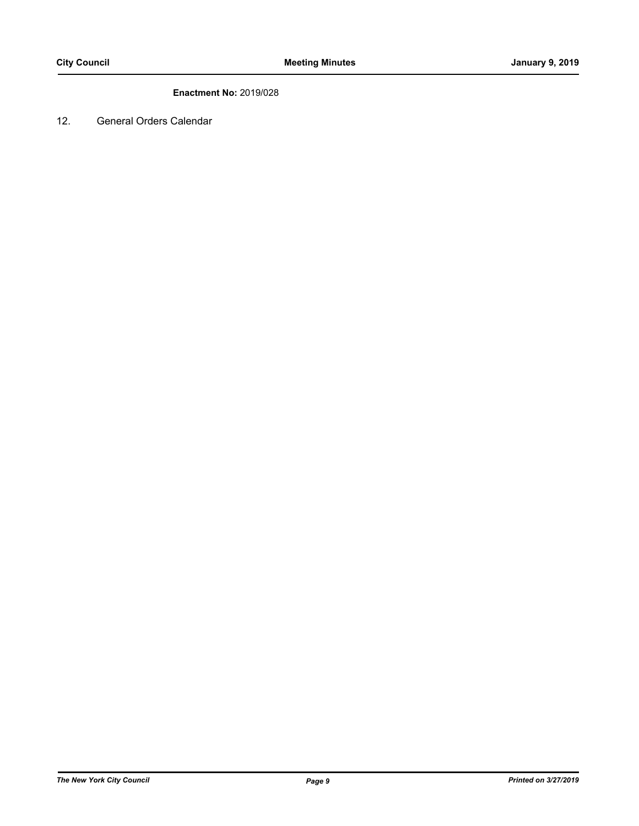# **Enactment No:** 2019/028

12. General Orders Calendar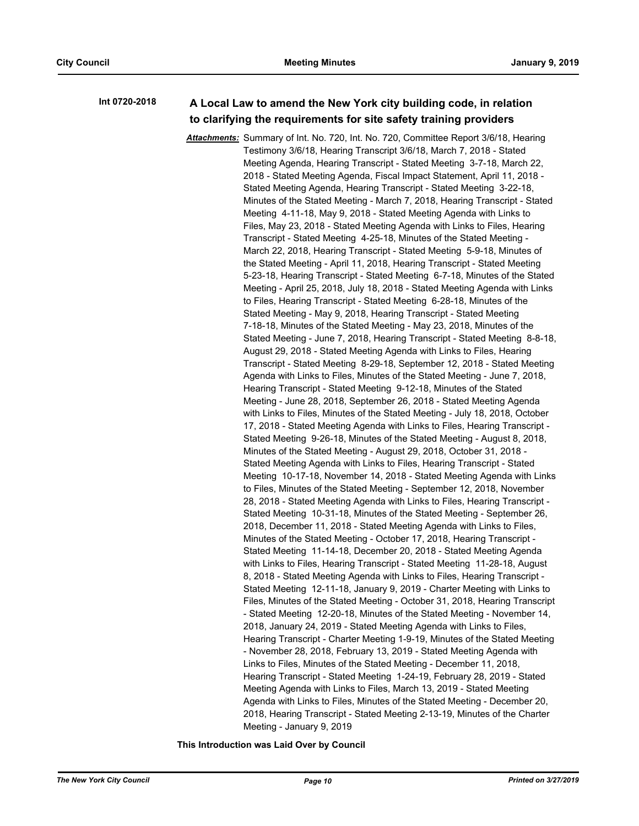#### **A Local Law to amend the New York city building code, in relation to clarifying the requirements for site safety training providers Int 0720-2018**

*Attachments:* Summary of Int. No. 720, Int. No. 720, Committee Report 3/6/18, Hearing Testimony 3/6/18, Hearing Transcript 3/6/18, March 7, 2018 - Stated Meeting Agenda, Hearing Transcript - Stated Meeting 3-7-18, March 22, 2018 - Stated Meeting Agenda, Fiscal Impact Statement, April 11, 2018 - Stated Meeting Agenda, Hearing Transcript - Stated Meeting 3-22-18, Minutes of the Stated Meeting - March 7, 2018, Hearing Transcript - Stated Meeting 4-11-18, May 9, 2018 - Stated Meeting Agenda with Links to Files, May 23, 2018 - Stated Meeting Agenda with Links to Files, Hearing Transcript - Stated Meeting 4-25-18, Minutes of the Stated Meeting - March 22, 2018, Hearing Transcript - Stated Meeting 5-9-18, Minutes of the Stated Meeting - April 11, 2018, Hearing Transcript - Stated Meeting 5-23-18, Hearing Transcript - Stated Meeting 6-7-18, Minutes of the Stated Meeting - April 25, 2018, July 18, 2018 - Stated Meeting Agenda with Links to Files, Hearing Transcript - Stated Meeting 6-28-18, Minutes of the Stated Meeting - May 9, 2018, Hearing Transcript - Stated Meeting 7-18-18, Minutes of the Stated Meeting - May 23, 2018, Minutes of the Stated Meeting - June 7, 2018, Hearing Transcript - Stated Meeting 8-8-18, August 29, 2018 - Stated Meeting Agenda with Links to Files, Hearing Transcript - Stated Meeting 8-29-18, September 12, 2018 - Stated Meeting Agenda with Links to Files, Minutes of the Stated Meeting - June 7, 2018, Hearing Transcript - Stated Meeting 9-12-18, Minutes of the Stated Meeting - June 28, 2018, September 26, 2018 - Stated Meeting Agenda with Links to Files, Minutes of the Stated Meeting - July 18, 2018, October 17, 2018 - Stated Meeting Agenda with Links to Files, Hearing Transcript - Stated Meeting 9-26-18, Minutes of the Stated Meeting - August 8, 2018, Minutes of the Stated Meeting - August 29, 2018, October 31, 2018 - Stated Meeting Agenda with Links to Files, Hearing Transcript - Stated Meeting 10-17-18, November 14, 2018 - Stated Meeting Agenda with Links to Files, Minutes of the Stated Meeting - September 12, 2018, November 28, 2018 - Stated Meeting Agenda with Links to Files, Hearing Transcript - Stated Meeting 10-31-18, Minutes of the Stated Meeting - September 26, 2018, December 11, 2018 - Stated Meeting Agenda with Links to Files, Minutes of the Stated Meeting - October 17, 2018, Hearing Transcript - Stated Meeting 11-14-18, December 20, 2018 - Stated Meeting Agenda with Links to Files, Hearing Transcript - Stated Meeting 11-28-18, August 8, 2018 - Stated Meeting Agenda with Links to Files, Hearing Transcript - Stated Meeting 12-11-18, January 9, 2019 - Charter Meeting with Links to Files, Minutes of the Stated Meeting - October 31, 2018, Hearing Transcript - Stated Meeting 12-20-18, Minutes of the Stated Meeting - November 14, 2018, January 24, 2019 - Stated Meeting Agenda with Links to Files, Hearing Transcript - Charter Meeting 1-9-19, Minutes of the Stated Meeting - November 28, 2018, February 13, 2019 - Stated Meeting Agenda with Links to Files, Minutes of the Stated Meeting - December 11, 2018, Hearing Transcript - Stated Meeting 1-24-19, February 28, 2019 - Stated Meeting Agenda with Links to Files, March 13, 2019 - Stated Meeting Agenda with Links to Files, Minutes of the Stated Meeting - December 20, 2018, Hearing Transcript - Stated Meeting 2-13-19, Minutes of the Charter Meeting - January 9, 2019

**This Introduction was Laid Over by Council**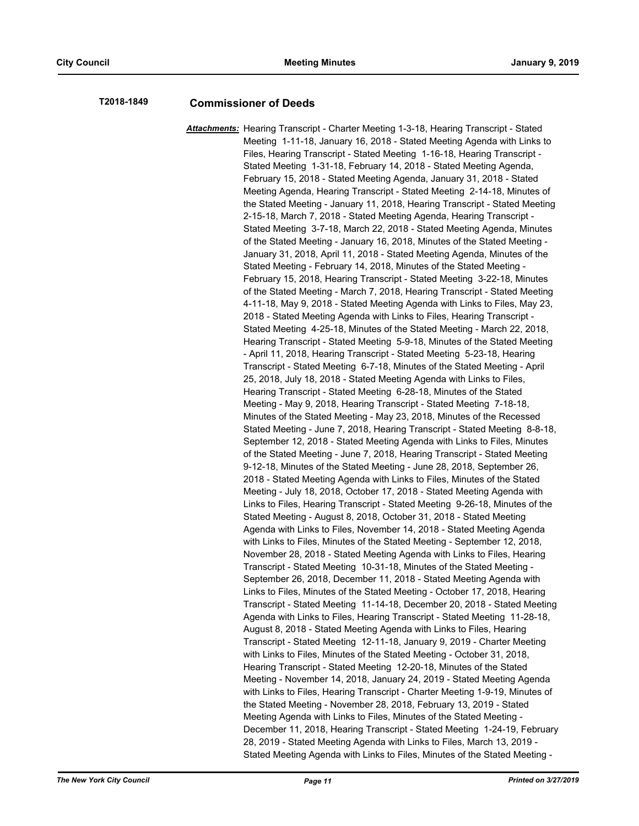# **T2018-1849 Commissioner of Deeds**

*Attachments:* Hearing Transcript - Charter Meeting 1-3-18, Hearing Transcript - Stated Meeting 1-11-18, January 16, 2018 - Stated Meeting Agenda with Links to Files, Hearing Transcript - Stated Meeting 1-16-18, Hearing Transcript - Stated Meeting 1-31-18, February 14, 2018 - Stated Meeting Agenda, February 15, 2018 - Stated Meeting Agenda, January 31, 2018 - Stated Meeting Agenda, Hearing Transcript - Stated Meeting 2-14-18, Minutes of the Stated Meeting - January 11, 2018, Hearing Transcript - Stated Meeting 2-15-18, March 7, 2018 - Stated Meeting Agenda, Hearing Transcript - Stated Meeting 3-7-18, March 22, 2018 - Stated Meeting Agenda, Minutes of the Stated Meeting - January 16, 2018, Minutes of the Stated Meeting - January 31, 2018, April 11, 2018 - Stated Meeting Agenda, Minutes of the Stated Meeting - February 14, 2018, Minutes of the Stated Meeting - February 15, 2018, Hearing Transcript - Stated Meeting 3-22-18, Minutes of the Stated Meeting - March 7, 2018, Hearing Transcript - Stated Meeting 4-11-18, May 9, 2018 - Stated Meeting Agenda with Links to Files, May 23, 2018 - Stated Meeting Agenda with Links to Files, Hearing Transcript - Stated Meeting 4-25-18, Minutes of the Stated Meeting - March 22, 2018, Hearing Transcript - Stated Meeting 5-9-18, Minutes of the Stated Meeting - April 11, 2018, Hearing Transcript - Stated Meeting 5-23-18, Hearing Transcript - Stated Meeting 6-7-18, Minutes of the Stated Meeting - April 25, 2018, July 18, 2018 - Stated Meeting Agenda with Links to Files, Hearing Transcript - Stated Meeting 6-28-18, Minutes of the Stated Meeting - May 9, 2018, Hearing Transcript - Stated Meeting 7-18-18, Minutes of the Stated Meeting - May 23, 2018, Minutes of the Recessed Stated Meeting - June 7, 2018, Hearing Transcript - Stated Meeting 8-8-18, September 12, 2018 - Stated Meeting Agenda with Links to Files, Minutes of the Stated Meeting - June 7, 2018, Hearing Transcript - Stated Meeting 9-12-18, Minutes of the Stated Meeting - June 28, 2018, September 26, 2018 - Stated Meeting Agenda with Links to Files, Minutes of the Stated Meeting - July 18, 2018, October 17, 2018 - Stated Meeting Agenda with Links to Files, Hearing Transcript - Stated Meeting 9-26-18, Minutes of the Stated Meeting - August 8, 2018, October 31, 2018 - Stated Meeting Agenda with Links to Files, November 14, 2018 - Stated Meeting Agenda with Links to Files, Minutes of the Stated Meeting - September 12, 2018, November 28, 2018 - Stated Meeting Agenda with Links to Files, Hearing Transcript - Stated Meeting 10-31-18, Minutes of the Stated Meeting - September 26, 2018, December 11, 2018 - Stated Meeting Agenda with Links to Files, Minutes of the Stated Meeting - October 17, 2018, Hearing Transcript - Stated Meeting 11-14-18, December 20, 2018 - Stated Meeting Agenda with Links to Files, Hearing Transcript - Stated Meeting 11-28-18, August 8, 2018 - Stated Meeting Agenda with Links to Files, Hearing Transcript - Stated Meeting 12-11-18, January 9, 2019 - Charter Meeting with Links to Files, Minutes of the Stated Meeting - October 31, 2018, Hearing Transcript - Stated Meeting 12-20-18, Minutes of the Stated Meeting - November 14, 2018, January 24, 2019 - Stated Meeting Agenda with Links to Files, Hearing Transcript - Charter Meeting 1-9-19, Minutes of the Stated Meeting - November 28, 2018, February 13, 2019 - Stated Meeting Agenda with Links to Files, Minutes of the Stated Meeting - December 11, 2018, Hearing Transcript - Stated Meeting 1-24-19, February 28, 2019 - Stated Meeting Agenda with Links to Files, March 13, 2019 - Stated Meeting Agenda with Links to Files, Minutes of the Stated Meeting -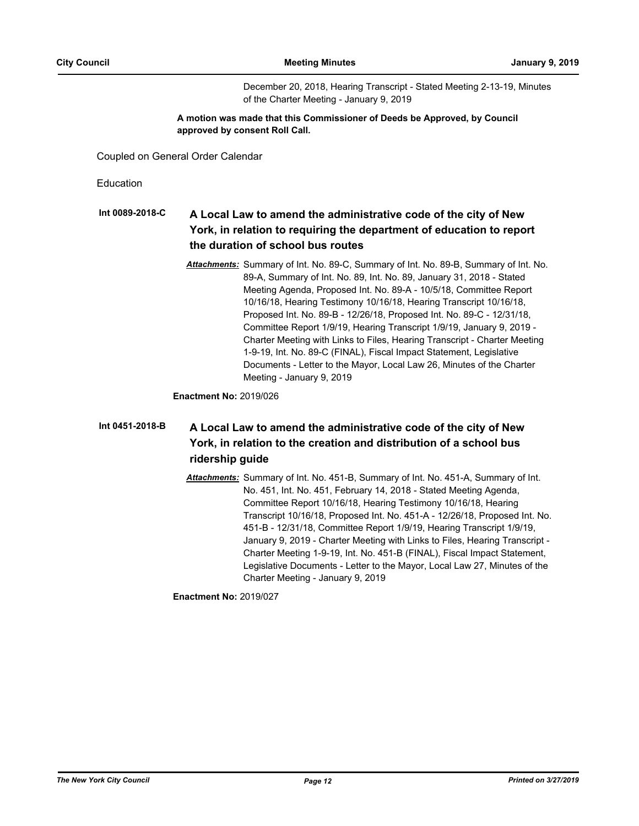December 20, 2018, Hearing Transcript - Stated Meeting 2-13-19, Minutes of the Charter Meeting - January 9, 2019

### **A motion was made that this Commissioner of Deeds be Approved, by Council approved by consent Roll Call.**

Coupled on General Order Calendar

Education

#### **A Local Law to amend the administrative code of the city of New York, in relation to requiring the department of education to report the duration of school bus routes Int 0089-2018-C**

*Attachments:* Summary of Int. No. 89-C, Summary of Int. No. 89-B, Summary of Int. No. 89-A, Summary of Int. No. 89, Int. No. 89, January 31, 2018 - Stated Meeting Agenda, Proposed Int. No. 89-A - 10/5/18, Committee Report 10/16/18, Hearing Testimony 10/16/18, Hearing Transcript 10/16/18, Proposed Int. No. 89-B - 12/26/18, Proposed Int. No. 89-C - 12/31/18, Committee Report 1/9/19, Hearing Transcript 1/9/19, January 9, 2019 - Charter Meeting with Links to Files, Hearing Transcript - Charter Meeting 1-9-19, Int. No. 89-C (FINAL), Fiscal Impact Statement, Legislative Documents - Letter to the Mayor, Local Law 26, Minutes of the Charter Meeting - January 9, 2019

**Enactment No:** 2019/026

#### **A Local Law to amend the administrative code of the city of New York, in relation to the creation and distribution of a school bus ridership guide Int 0451-2018-B**

*Attachments:* Summary of Int. No. 451-B, Summary of Int. No. 451-A, Summary of Int. No. 451, Int. No. 451, February 14, 2018 - Stated Meeting Agenda, Committee Report 10/16/18, Hearing Testimony 10/16/18, Hearing Transcript 10/16/18, Proposed Int. No. 451-A - 12/26/18, Proposed Int. No. 451-B - 12/31/18, Committee Report 1/9/19, Hearing Transcript 1/9/19, January 9, 2019 - Charter Meeting with Links to Files, Hearing Transcript - Charter Meeting 1-9-19, Int. No. 451-B (FINAL), Fiscal Impact Statement, Legislative Documents - Letter to the Mayor, Local Law 27, Minutes of the Charter Meeting - January 9, 2019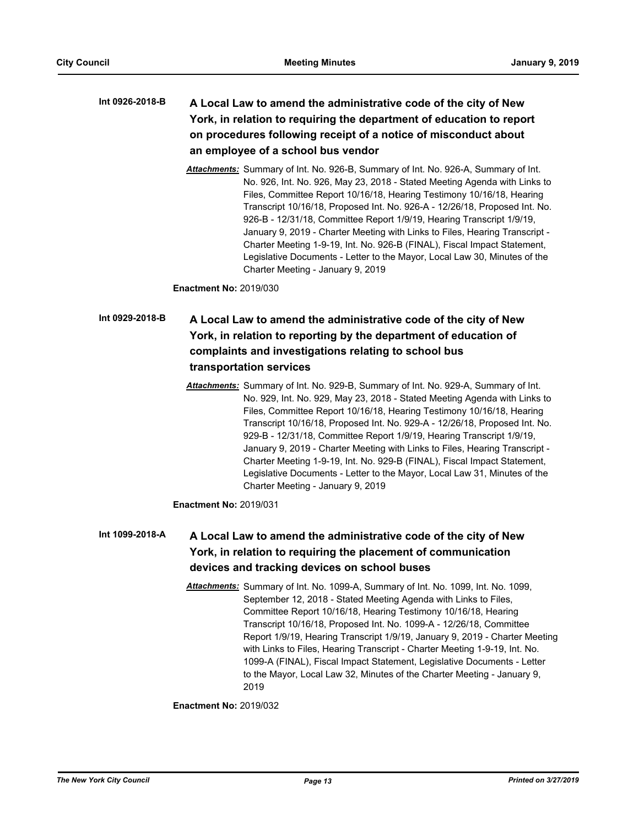## **A Local Law to amend the administrative code of the city of New York, in relation to requiring the department of education to report on procedures following receipt of a notice of misconduct about an employee of a school bus vendor Int 0926-2018-B**

*Attachments:* Summary of Int. No. 926-B, Summary of Int. No. 926-A, Summary of Int. No. 926, Int. No. 926, May 23, 2018 - Stated Meeting Agenda with Links to Files, Committee Report 10/16/18, Hearing Testimony 10/16/18, Hearing Transcript 10/16/18, Proposed Int. No. 926-A - 12/26/18, Proposed Int. No. 926-B - 12/31/18, Committee Report 1/9/19, Hearing Transcript 1/9/19, January 9, 2019 - Charter Meeting with Links to Files, Hearing Transcript - Charter Meeting 1-9-19, Int. No. 926-B (FINAL), Fiscal Impact Statement, Legislative Documents - Letter to the Mayor, Local Law 30, Minutes of the Charter Meeting - January 9, 2019

**Enactment No:** 2019/030

# **A Local Law to amend the administrative code of the city of New York, in relation to reporting by the department of education of complaints and investigations relating to school bus transportation services Int 0929-2018-B**

*Attachments:* Summary of Int. No. 929-B, Summary of Int. No. 929-A, Summary of Int. No. 929, Int. No. 929, May 23, 2018 - Stated Meeting Agenda with Links to Files, Committee Report 10/16/18, Hearing Testimony 10/16/18, Hearing Transcript 10/16/18, Proposed Int. No. 929-A - 12/26/18, Proposed Int. No. 929-B - 12/31/18, Committee Report 1/9/19, Hearing Transcript 1/9/19, January 9, 2019 - Charter Meeting with Links to Files, Hearing Transcript - Charter Meeting 1-9-19, Int. No. 929-B (FINAL), Fiscal Impact Statement, Legislative Documents - Letter to the Mayor, Local Law 31, Minutes of the Charter Meeting - January 9, 2019

**Enactment No:** 2019/031

#### **A Local Law to amend the administrative code of the city of New York, in relation to requiring the placement of communication devices and tracking devices on school buses Int 1099-2018-A**

*Attachments:* Summary of Int. No. 1099-A, Summary of Int. No. 1099, Int. No. 1099, September 12, 2018 - Stated Meeting Agenda with Links to Files, Committee Report 10/16/18, Hearing Testimony 10/16/18, Hearing Transcript 10/16/18, Proposed Int. No. 1099-A - 12/26/18, Committee Report 1/9/19, Hearing Transcript 1/9/19, January 9, 2019 - Charter Meeting with Links to Files, Hearing Transcript - Charter Meeting 1-9-19, Int. No. 1099-A (FINAL), Fiscal Impact Statement, Legislative Documents - Letter to the Mayor, Local Law 32, Minutes of the Charter Meeting - January 9, 2019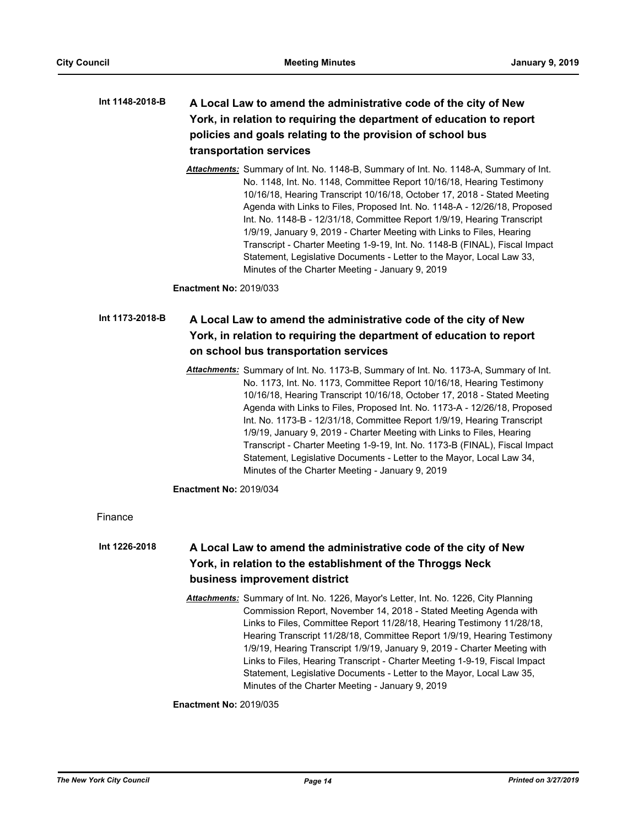## **A Local Law to amend the administrative code of the city of New York, in relation to requiring the department of education to report policies and goals relating to the provision of school bus transportation services Int 1148-2018-B**

*Attachments:* Summary of Int. No. 1148-B, Summary of Int. No. 1148-A, Summary of Int. No. 1148, Int. No. 1148, Committee Report 10/16/18, Hearing Testimony 10/16/18, Hearing Transcript 10/16/18, October 17, 2018 - Stated Meeting Agenda with Links to Files, Proposed Int. No. 1148-A - 12/26/18, Proposed Int. No. 1148-B - 12/31/18, Committee Report 1/9/19, Hearing Transcript 1/9/19, January 9, 2019 - Charter Meeting with Links to Files, Hearing Transcript - Charter Meeting 1-9-19, Int. No. 1148-B (FINAL), Fiscal Impact Statement, Legislative Documents - Letter to the Mayor, Local Law 33, Minutes of the Charter Meeting - January 9, 2019

**Enactment No:** 2019/033

#### **A Local Law to amend the administrative code of the city of New York, in relation to requiring the department of education to report on school bus transportation services Int 1173-2018-B**

*Attachments:* Summary of Int. No. 1173-B, Summary of Int. No. 1173-A, Summary of Int. No. 1173, Int. No. 1173, Committee Report 10/16/18, Hearing Testimony 10/16/18, Hearing Transcript 10/16/18, October 17, 2018 - Stated Meeting Agenda with Links to Files, Proposed Int. No. 1173-A - 12/26/18, Proposed Int. No. 1173-B - 12/31/18, Committee Report 1/9/19, Hearing Transcript 1/9/19, January 9, 2019 - Charter Meeting with Links to Files, Hearing Transcript - Charter Meeting 1-9-19, Int. No. 1173-B (FINAL), Fiscal Impact Statement, Legislative Documents - Letter to the Mayor, Local Law 34, Minutes of the Charter Meeting - January 9, 2019

**Enactment No:** 2019/034

Finance

#### **A Local Law to amend the administrative code of the city of New York, in relation to the establishment of the Throggs Neck business improvement district Int 1226-2018**

*Attachments:* Summary of Int. No. 1226, Mayor's Letter, Int. No. 1226, City Planning Commission Report, November 14, 2018 - Stated Meeting Agenda with Links to Files, Committee Report 11/28/18, Hearing Testimony 11/28/18, Hearing Transcript 11/28/18, Committee Report 1/9/19, Hearing Testimony 1/9/19, Hearing Transcript 1/9/19, January 9, 2019 - Charter Meeting with Links to Files, Hearing Transcript - Charter Meeting 1-9-19, Fiscal Impact Statement, Legislative Documents - Letter to the Mayor, Local Law 35, Minutes of the Charter Meeting - January 9, 2019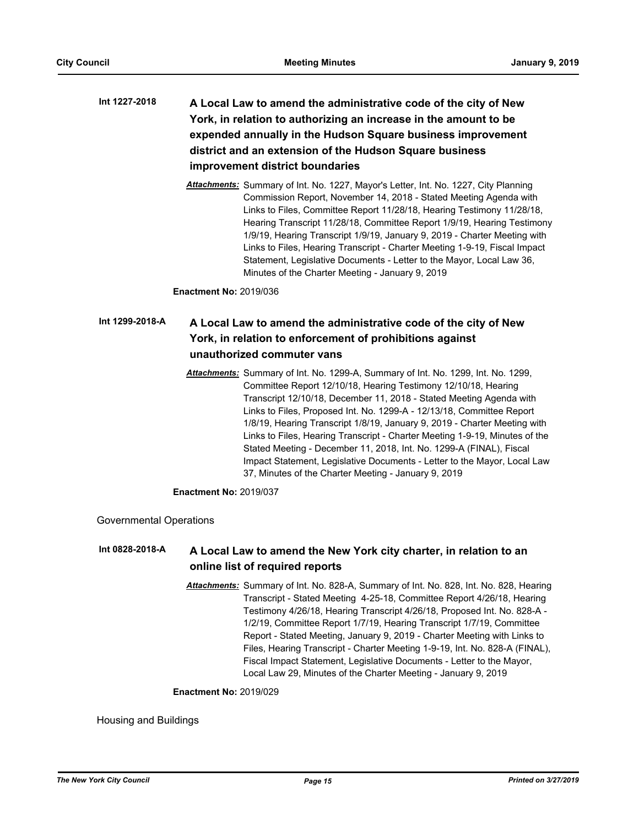- **A Local Law to amend the administrative code of the city of New York, in relation to authorizing an increase in the amount to be expended annually in the Hudson Square business improvement district and an extension of the Hudson Square business improvement district boundaries Int 1227-2018**
	- *Attachments:* Summary of Int. No. 1227, Mayor's Letter, Int. No. 1227, City Planning Commission Report, November 14, 2018 - Stated Meeting Agenda with Links to Files, Committee Report 11/28/18, Hearing Testimony 11/28/18, Hearing Transcript 11/28/18, Committee Report 1/9/19, Hearing Testimony 1/9/19, Hearing Transcript 1/9/19, January 9, 2019 - Charter Meeting with Links to Files, Hearing Transcript - Charter Meeting 1-9-19, Fiscal Impact Statement, Legislative Documents - Letter to the Mayor, Local Law 36, Minutes of the Charter Meeting - January 9, 2019

**Enactment No:** 2019/036

#### **A Local Law to amend the administrative code of the city of New York, in relation to enforcement of prohibitions against unauthorized commuter vans Int 1299-2018-A**

*Attachments:* Summary of Int. No. 1299-A, Summary of Int. No. 1299, Int. No. 1299, Committee Report 12/10/18, Hearing Testimony 12/10/18, Hearing Transcript 12/10/18, December 11, 2018 - Stated Meeting Agenda with Links to Files, Proposed Int. No. 1299-A - 12/13/18, Committee Report 1/8/19, Hearing Transcript 1/8/19, January 9, 2019 - Charter Meeting with Links to Files, Hearing Transcript - Charter Meeting 1-9-19, Minutes of the Stated Meeting - December 11, 2018, Int. No. 1299-A (FINAL), Fiscal Impact Statement, Legislative Documents - Letter to the Mayor, Local Law 37, Minutes of the Charter Meeting - January 9, 2019

**Enactment No:** 2019/037

Governmental Operations

#### **A Local Law to amend the New York city charter, in relation to an online list of required reports Int 0828-2018-A**

*Attachments:* Summary of Int. No. 828-A, Summary of Int. No. 828, Int. No. 828, Hearing Transcript - Stated Meeting 4-25-18, Committee Report 4/26/18, Hearing Testimony 4/26/18, Hearing Transcript 4/26/18, Proposed Int. No. 828-A - 1/2/19, Committee Report 1/7/19, Hearing Transcript 1/7/19, Committee Report - Stated Meeting, January 9, 2019 - Charter Meeting with Links to Files, Hearing Transcript - Charter Meeting 1-9-19, Int. No. 828-A (FINAL), Fiscal Impact Statement, Legislative Documents - Letter to the Mayor, Local Law 29, Minutes of the Charter Meeting - January 9, 2019

#### **Enactment No:** 2019/029

Housing and Buildings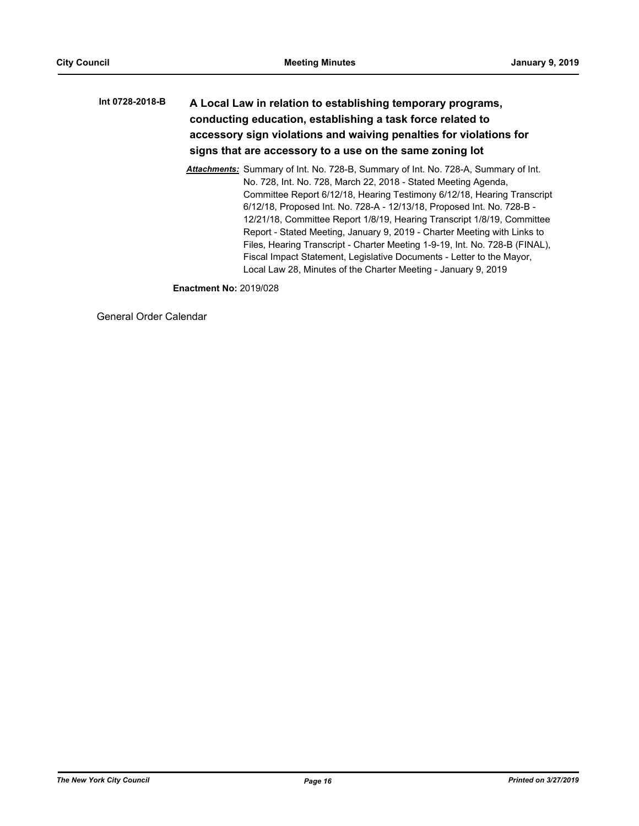# **A Local Law in relation to establishing temporary programs, conducting education, establishing a task force related to accessory sign violations and waiving penalties for violations for signs that are accessory to a use on the same zoning lot Int 0728-2018-B**

*Attachments:* Summary of Int. No. 728-B, Summary of Int. No. 728-A, Summary of Int. No. 728, Int. No. 728, March 22, 2018 - Stated Meeting Agenda, Committee Report 6/12/18, Hearing Testimony 6/12/18, Hearing Transcript 6/12/18, Proposed Int. No. 728-A - 12/13/18, Proposed Int. No. 728-B - 12/21/18, Committee Report 1/8/19, Hearing Transcript 1/8/19, Committee Report - Stated Meeting, January 9, 2019 - Charter Meeting with Links to Files, Hearing Transcript - Charter Meeting 1-9-19, Int. No. 728-B (FINAL), Fiscal Impact Statement, Legislative Documents - Letter to the Mayor, Local Law 28, Minutes of the Charter Meeting - January 9, 2019

**Enactment No:** 2019/028

General Order Calendar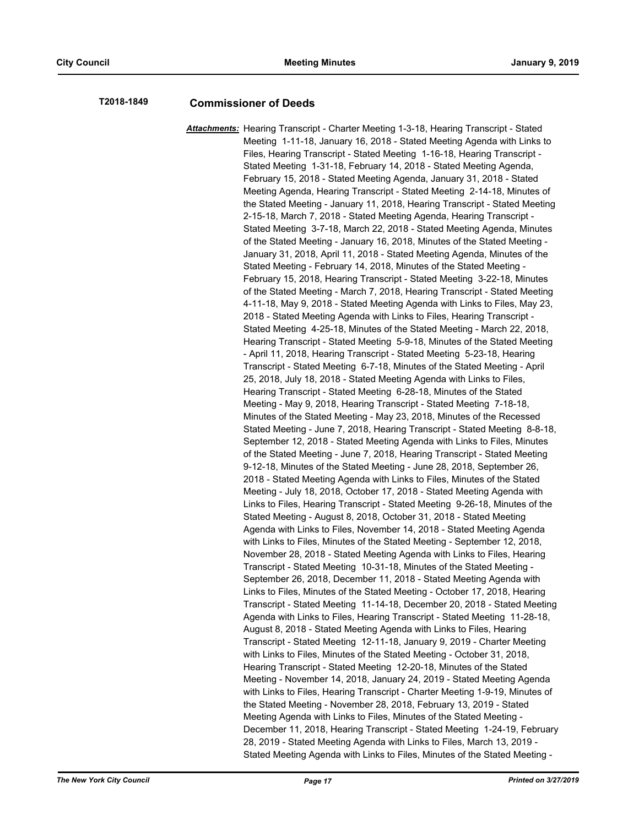# **T2018-1849 Commissioner of Deeds**

*Attachments:* Hearing Transcript - Charter Meeting 1-3-18, Hearing Transcript - Stated Meeting 1-11-18, January 16, 2018 - Stated Meeting Agenda with Links to Files, Hearing Transcript - Stated Meeting 1-16-18, Hearing Transcript - Stated Meeting 1-31-18, February 14, 2018 - Stated Meeting Agenda, February 15, 2018 - Stated Meeting Agenda, January 31, 2018 - Stated Meeting Agenda, Hearing Transcript - Stated Meeting 2-14-18, Minutes of the Stated Meeting - January 11, 2018, Hearing Transcript - Stated Meeting 2-15-18, March 7, 2018 - Stated Meeting Agenda, Hearing Transcript - Stated Meeting 3-7-18, March 22, 2018 - Stated Meeting Agenda, Minutes of the Stated Meeting - January 16, 2018, Minutes of the Stated Meeting - January 31, 2018, April 11, 2018 - Stated Meeting Agenda, Minutes of the Stated Meeting - February 14, 2018, Minutes of the Stated Meeting - February 15, 2018, Hearing Transcript - Stated Meeting 3-22-18, Minutes of the Stated Meeting - March 7, 2018, Hearing Transcript - Stated Meeting 4-11-18, May 9, 2018 - Stated Meeting Agenda with Links to Files, May 23, 2018 - Stated Meeting Agenda with Links to Files, Hearing Transcript - Stated Meeting 4-25-18, Minutes of the Stated Meeting - March 22, 2018, Hearing Transcript - Stated Meeting 5-9-18, Minutes of the Stated Meeting - April 11, 2018, Hearing Transcript - Stated Meeting 5-23-18, Hearing Transcript - Stated Meeting 6-7-18, Minutes of the Stated Meeting - April 25, 2018, July 18, 2018 - Stated Meeting Agenda with Links to Files, Hearing Transcript - Stated Meeting 6-28-18, Minutes of the Stated Meeting - May 9, 2018, Hearing Transcript - Stated Meeting 7-18-18, Minutes of the Stated Meeting - May 23, 2018, Minutes of the Recessed Stated Meeting - June 7, 2018, Hearing Transcript - Stated Meeting 8-8-18, September 12, 2018 - Stated Meeting Agenda with Links to Files, Minutes of the Stated Meeting - June 7, 2018, Hearing Transcript - Stated Meeting 9-12-18, Minutes of the Stated Meeting - June 28, 2018, September 26, 2018 - Stated Meeting Agenda with Links to Files, Minutes of the Stated Meeting - July 18, 2018, October 17, 2018 - Stated Meeting Agenda with Links to Files, Hearing Transcript - Stated Meeting 9-26-18, Minutes of the Stated Meeting - August 8, 2018, October 31, 2018 - Stated Meeting Agenda with Links to Files, November 14, 2018 - Stated Meeting Agenda with Links to Files, Minutes of the Stated Meeting - September 12, 2018, November 28, 2018 - Stated Meeting Agenda with Links to Files, Hearing Transcript - Stated Meeting 10-31-18, Minutes of the Stated Meeting - September 26, 2018, December 11, 2018 - Stated Meeting Agenda with Links to Files, Minutes of the Stated Meeting - October 17, 2018, Hearing Transcript - Stated Meeting 11-14-18, December 20, 2018 - Stated Meeting Agenda with Links to Files, Hearing Transcript - Stated Meeting 11-28-18, August 8, 2018 - Stated Meeting Agenda with Links to Files, Hearing Transcript - Stated Meeting 12-11-18, January 9, 2019 - Charter Meeting with Links to Files, Minutes of the Stated Meeting - October 31, 2018, Hearing Transcript - Stated Meeting 12-20-18, Minutes of the Stated Meeting - November 14, 2018, January 24, 2019 - Stated Meeting Agenda with Links to Files, Hearing Transcript - Charter Meeting 1-9-19, Minutes of the Stated Meeting - November 28, 2018, February 13, 2019 - Stated Meeting Agenda with Links to Files, Minutes of the Stated Meeting - December 11, 2018, Hearing Transcript - Stated Meeting 1-24-19, February 28, 2019 - Stated Meeting Agenda with Links to Files, March 13, 2019 - Stated Meeting Agenda with Links to Files, Minutes of the Stated Meeting -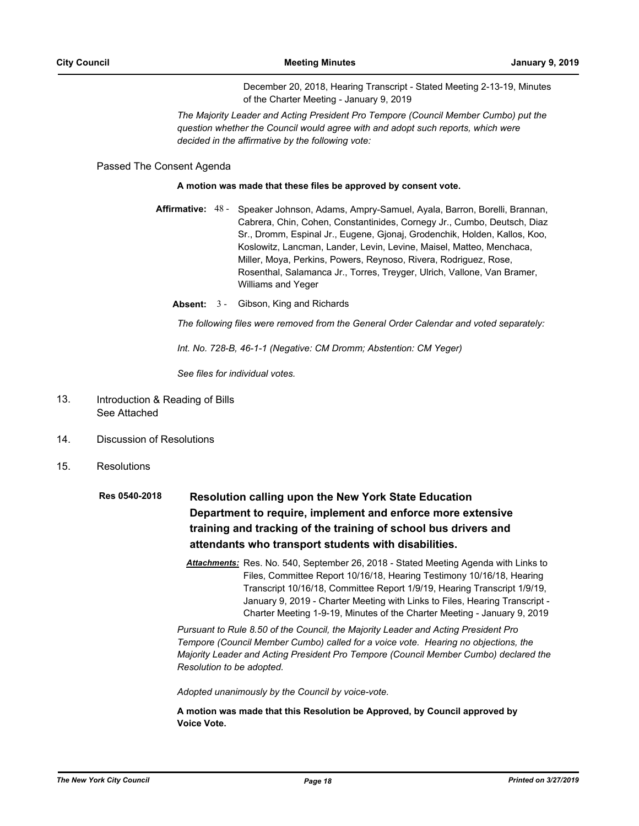December 20, 2018, Hearing Transcript - Stated Meeting 2-13-19, Minutes of the Charter Meeting - January 9, 2019

*The Majority Leader and Acting President Pro Tempore (Council Member Cumbo) put the question whether the Council would agree with and adopt such reports, which were decided in the affirmative by the following vote:*

Passed The Consent Agenda

#### **A motion was made that these files be approved by consent vote.**

- Affirmative: 48 Speaker Johnson, Adams, Ampry-Samuel, Ayala, Barron, Borelli, Brannan, Cabrera, Chin, Cohen, Constantinides, Cornegy Jr., Cumbo, Deutsch, Diaz Sr., Dromm, Espinal Jr., Eugene, Gjonaj, Grodenchik, Holden, Kallos, Koo, Koslowitz, Lancman, Lander, Levin, Levine, Maisel, Matteo, Menchaca, Miller, Moya, Perkins, Powers, Reynoso, Rivera, Rodriguez, Rose, Rosenthal, Salamanca Jr., Torres, Treyger, Ulrich, Vallone, Van Bramer, Williams and Yeger
	- **Absent:** 3 Gibson, King and Richards

*The following files were removed from the General Order Calendar and voted separately:*

*Int. No. 728-B, 46-1-1 (Negative: CM Dromm; Abstention: CM Yeger)*

*See files for individual votes.*

- Introduction & Reading of Bills See Attached 13.
- 14. Discussion of Resolutions
- 15. Resolutions
	- **Resolution calling upon the New York State Education Department to require, implement and enforce more extensive training and tracking of the training of school bus drivers and attendants who transport students with disabilities. Res 0540-2018**
		- *Attachments:* Res. No. 540, September 26, 2018 Stated Meeting Agenda with Links to Files, Committee Report 10/16/18, Hearing Testimony 10/16/18, Hearing Transcript 10/16/18, Committee Report 1/9/19, Hearing Transcript 1/9/19, January 9, 2019 - Charter Meeting with Links to Files, Hearing Transcript - Charter Meeting 1-9-19, Minutes of the Charter Meeting - January 9, 2019

*Pursuant to Rule 8.50 of the Council, the Majority Leader and Acting President Pro Tempore (Council Member Cumbo) called for a voice vote. Hearing no objections, the Majority Leader and Acting President Pro Tempore (Council Member Cumbo) declared the Resolution to be adopted.*

*Adopted unanimously by the Council by voice-vote.*

**A motion was made that this Resolution be Approved, by Council approved by Voice Vote.**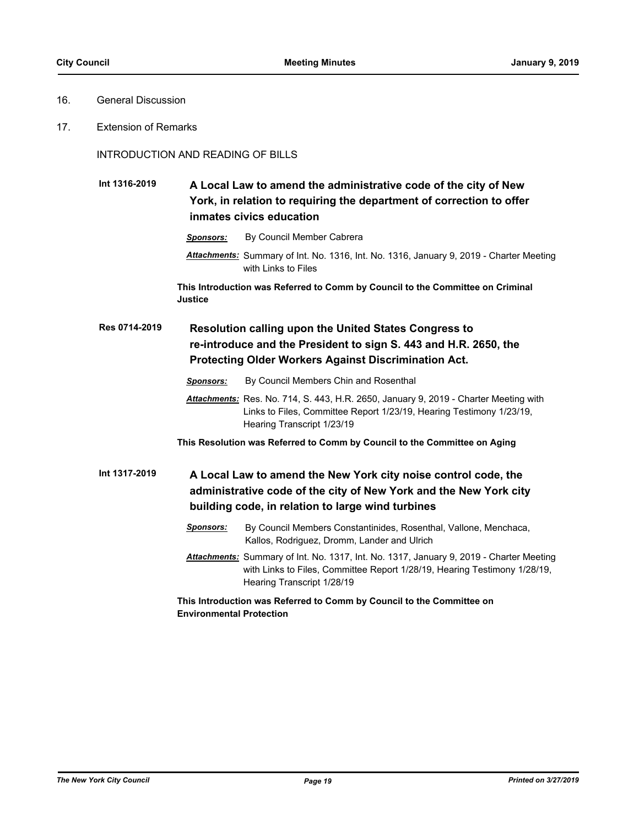# 16. General Discussion

17. Extension of Remarks

# INTRODUCTION AND READING OF BILLS

#### **A Local Law to amend the administrative code of the city of New York, in relation to requiring the department of correction to offer inmates civics education Int 1316-2019**

*Sponsors:* By Council Member Cabrera

*Attachments:* Summary of Int. No. 1316, Int. No. 1316, January 9, 2019 - Charter Meeting with Links to Files

**This Introduction was Referred to Comm by Council to the Committee on Criminal Justice**

#### **Resolution calling upon the United States Congress to re-introduce and the President to sign S. 443 and H.R. 2650, the Protecting Older Workers Against Discrimination Act. Res 0714-2019**

- *Sponsors:* By Council Members Chin and Rosenthal
- *Attachments:* Res. No. 714, S. 443, H.R. 2650, January 9, 2019 Charter Meeting with Links to Files, Committee Report 1/23/19, Hearing Testimony 1/23/19, Hearing Transcript 1/23/19
- **This Resolution was Referred to Comm by Council to the Committee on Aging**

#### **A Local Law to amend the New York city noise control code, the administrative code of the city of New York and the New York city building code, in relation to large wind turbines Int 1317-2019**

- *Sponsors:* By Council Members Constantinides, Rosenthal, Vallone, Menchaca, Kallos, Rodriguez, Dromm, Lander and Ulrich
- *Attachments:* Summary of Int. No. 1317, Int. No. 1317, January 9, 2019 Charter Meeting with Links to Files, Committee Report 1/28/19, Hearing Testimony 1/28/19, Hearing Transcript 1/28/19

# **This Introduction was Referred to Comm by Council to the Committee on Environmental Protection**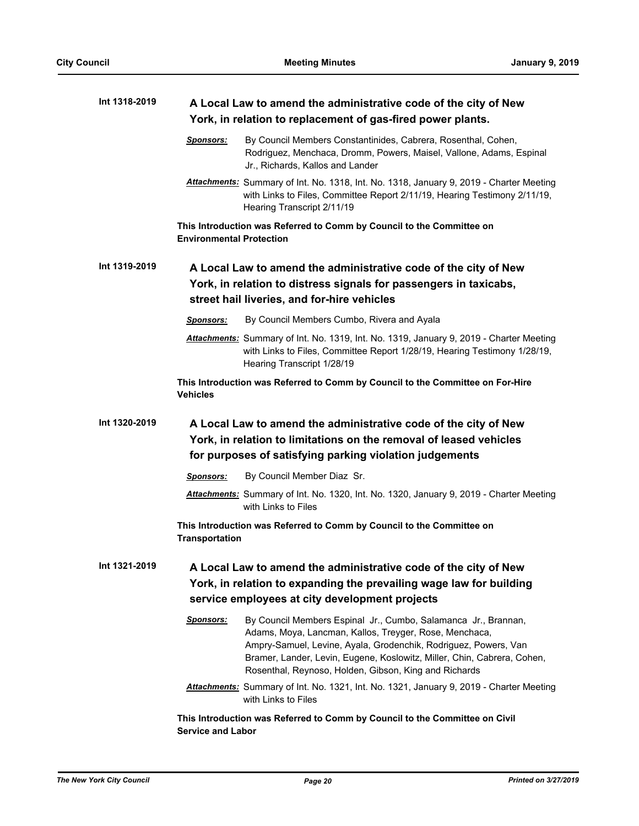| Int 1318-2019 |                                 | A Local Law to amend the administrative code of the city of New<br>York, in relation to replacement of gas-fired power plants.                                                                                                                                                                                                  |
|---------------|---------------------------------|---------------------------------------------------------------------------------------------------------------------------------------------------------------------------------------------------------------------------------------------------------------------------------------------------------------------------------|
|               | <u>Sponsors:</u>                | By Council Members Constantinides, Cabrera, Rosenthal, Cohen,<br>Rodriguez, Menchaca, Dromm, Powers, Maisel, Vallone, Adams, Espinal<br>Jr., Richards, Kallos and Lander                                                                                                                                                        |
|               |                                 | Attachments: Summary of Int. No. 1318, Int. No. 1318, January 9, 2019 - Charter Meeting<br>with Links to Files, Committee Report 2/11/19, Hearing Testimony 2/11/19,<br>Hearing Transcript 2/11/19                                                                                                                              |
|               | <b>Environmental Protection</b> | This Introduction was Referred to Comm by Council to the Committee on                                                                                                                                                                                                                                                           |
| Int 1319-2019 |                                 | A Local Law to amend the administrative code of the city of New                                                                                                                                                                                                                                                                 |
|               |                                 | York, in relation to distress signals for passengers in taxicabs,                                                                                                                                                                                                                                                               |
|               |                                 | street hail liveries, and for-hire vehicles                                                                                                                                                                                                                                                                                     |
|               | Sponsors:                       | By Council Members Cumbo, Rivera and Ayala                                                                                                                                                                                                                                                                                      |
|               |                                 | Attachments: Summary of Int. No. 1319, Int. No. 1319, January 9, 2019 - Charter Meeting<br>with Links to Files, Committee Report 1/28/19, Hearing Testimony 1/28/19,<br>Hearing Transcript 1/28/19                                                                                                                              |
|               | <b>Vehicles</b>                 | This Introduction was Referred to Comm by Council to the Committee on For-Hire                                                                                                                                                                                                                                                  |
| Int 1320-2019 |                                 | A Local Law to amend the administrative code of the city of New<br>York, in relation to limitations on the removal of leased vehicles<br>for purposes of satisfying parking violation judgements                                                                                                                                |
|               |                                 | By Council Member Diaz Sr.                                                                                                                                                                                                                                                                                                      |
|               | Sponsors:                       | Attachments: Summary of Int. No. 1320, Int. No. 1320, January 9, 2019 - Charter Meeting<br>with Links to Files                                                                                                                                                                                                                  |
|               | <b>Transportation</b>           | This Introduction was Referred to Comm by Council to the Committee on                                                                                                                                                                                                                                                           |
| Int 1321-2019 |                                 | A Local Law to amend the administrative code of the city of New<br>York, in relation to expanding the prevailing wage law for building<br>service employees at city development projects                                                                                                                                        |
|               | Sponsors:                       | By Council Members Espinal Jr., Cumbo, Salamanca Jr., Brannan,<br>Adams, Moya, Lancman, Kallos, Treyger, Rose, Menchaca,<br>Ampry-Samuel, Levine, Ayala, Grodenchik, Rodriguez, Powers, Van<br>Bramer, Lander, Levin, Eugene, Koslowitz, Miller, Chin, Cabrera, Cohen,<br>Rosenthal, Reynoso, Holden, Gibson, King and Richards |
|               |                                 | Attachments: Summary of Int. No. 1321, Int. No. 1321, January 9, 2019 - Charter Meeting<br>with Links to Files                                                                                                                                                                                                                  |
|               | <b>Service and Labor</b>        | This Introduction was Referred to Comm by Council to the Committee on Civil                                                                                                                                                                                                                                                     |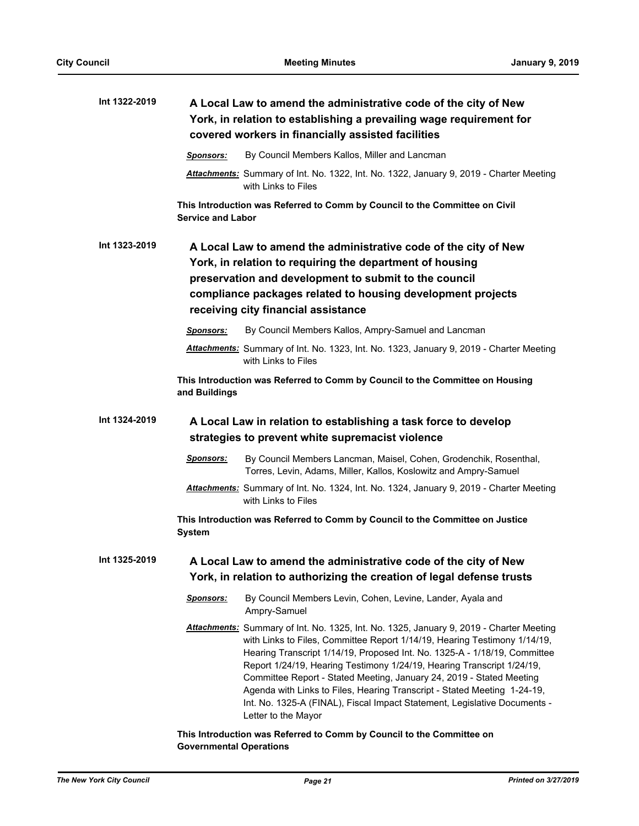| Int 1322-2019 | A Local Law to amend the administrative code of the city of New<br>York, in relation to establishing a prevailing wage requirement for<br>covered workers in financially assisted facilities                                                                                                                                                                                                                                                                                                                                                                                        |
|---------------|-------------------------------------------------------------------------------------------------------------------------------------------------------------------------------------------------------------------------------------------------------------------------------------------------------------------------------------------------------------------------------------------------------------------------------------------------------------------------------------------------------------------------------------------------------------------------------------|
|               | By Council Members Kallos, Miller and Lancman<br>Sponsors:                                                                                                                                                                                                                                                                                                                                                                                                                                                                                                                          |
|               | Attachments: Summary of Int. No. 1322, Int. No. 1322, January 9, 2019 - Charter Meeting<br>with Links to Files                                                                                                                                                                                                                                                                                                                                                                                                                                                                      |
|               | This Introduction was Referred to Comm by Council to the Committee on Civil<br><b>Service and Labor</b>                                                                                                                                                                                                                                                                                                                                                                                                                                                                             |
| Int 1323-2019 | A Local Law to amend the administrative code of the city of New<br>York, in relation to requiring the department of housing<br>preservation and development to submit to the council<br>compliance packages related to housing development projects<br>receiving city financial assistance                                                                                                                                                                                                                                                                                          |
|               | By Council Members Kallos, Ampry-Samuel and Lancman<br>Sponsors:                                                                                                                                                                                                                                                                                                                                                                                                                                                                                                                    |
|               | Attachments: Summary of Int. No. 1323, Int. No. 1323, January 9, 2019 - Charter Meeting<br>with Links to Files                                                                                                                                                                                                                                                                                                                                                                                                                                                                      |
|               | This Introduction was Referred to Comm by Council to the Committee on Housing<br>and Buildings                                                                                                                                                                                                                                                                                                                                                                                                                                                                                      |
| Int 1324-2019 | A Local Law in relation to establishing a task force to develop<br>strategies to prevent white supremacist violence                                                                                                                                                                                                                                                                                                                                                                                                                                                                 |
|               | <b>Sponsors:</b><br>By Council Members Lancman, Maisel, Cohen, Grodenchik, Rosenthal,<br>Torres, Levin, Adams, Miller, Kallos, Koslowitz and Ampry-Samuel                                                                                                                                                                                                                                                                                                                                                                                                                           |
|               | Attachments: Summary of Int. No. 1324, Int. No. 1324, January 9, 2019 - Charter Meeting<br>with Links to Files                                                                                                                                                                                                                                                                                                                                                                                                                                                                      |
|               | This Introduction was Referred to Comm by Council to the Committee on Justice<br><b>System</b>                                                                                                                                                                                                                                                                                                                                                                                                                                                                                      |
| Int 1325-2019 | A Local Law to amend the administrative code of the city of New<br>York, in relation to authorizing the creation of legal defense trusts                                                                                                                                                                                                                                                                                                                                                                                                                                            |
|               | By Council Members Levin, Cohen, Levine, Lander, Ayala and<br><b>Sponsors:</b><br>Ampry-Samuel                                                                                                                                                                                                                                                                                                                                                                                                                                                                                      |
|               | Attachments: Summary of Int. No. 1325, Int. No. 1325, January 9, 2019 - Charter Meeting<br>with Links to Files, Committee Report 1/14/19, Hearing Testimony 1/14/19,<br>Hearing Transcript 1/14/19, Proposed Int. No. 1325-A - 1/18/19, Committee<br>Report 1/24/19, Hearing Testimony 1/24/19, Hearing Transcript 1/24/19,<br>Committee Report - Stated Meeting, January 24, 2019 - Stated Meeting<br>Agenda with Links to Files, Hearing Transcript - Stated Meeting 1-24-19,<br>Int. No. 1325-A (FINAL), Fiscal Impact Statement, Legislative Documents -<br>Letter to the Mayor |
|               | This Introduction was Referred to Comm by Council to the Committee on<br><b>Governmental Operations</b>                                                                                                                                                                                                                                                                                                                                                                                                                                                                             |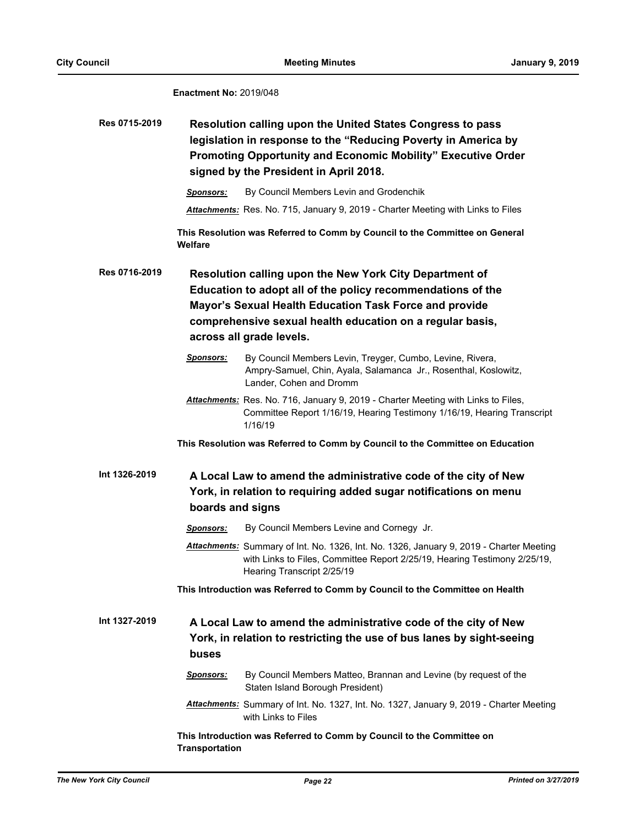**Enactment No:** 2019/048

| Res 0715-2019 | Resolution calling upon the United States Congress to pass          |
|---------------|---------------------------------------------------------------------|
|               | legislation in response to the "Reducing Poverty in America by      |
|               | <b>Promoting Opportunity and Economic Mobility" Executive Order</b> |
|               | signed by the President in April 2018.                              |

*Sponsors:* By Council Members Levin and Grodenchik

*Attachments:* Res. No. 715, January 9, 2019 - Charter Meeting with Links to Files

**This Resolution was Referred to Comm by Council to the Committee on General Welfare**

**Resolution calling upon the New York City Department of Education to adopt all of the policy recommendations of the Mayor's Sexual Health Education Task Force and provide comprehensive sexual health education on a regular basis, across all grade levels. Res 0716-2019**

- *Sponsors:* By Council Members Levin, Treyger, Cumbo, Levine, Rivera, Ampry-Samuel, Chin, Ayala, Salamanca Jr., Rosenthal, Koslowitz, Lander, Cohen and Dromm
- *Attachments:* Res. No. 716, January 9, 2019 Charter Meeting with Links to Files, Committee Report 1/16/19, Hearing Testimony 1/16/19, Hearing Transcript 1/16/19

**This Resolution was Referred to Comm by Council to the Committee on Education**

#### **A Local Law to amend the administrative code of the city of New York, in relation to requiring added sugar notifications on menu boards and signs Int 1326-2019**

*Sponsors:* By Council Members Levine and Cornegy Jr.

*Attachments:* Summary of Int. No. 1326, Int. No. 1326, January 9, 2019 - Charter Meeting with Links to Files, Committee Report 2/25/19, Hearing Testimony 2/25/19, Hearing Transcript 2/25/19

**This Introduction was Referred to Comm by Council to the Committee on Health**

**A Local Law to amend the administrative code of the city of New York, in relation to restricting the use of bus lanes by sight-seeing buses Int 1327-2019**

- *Sponsors:* By Council Members Matteo, Brannan and Levine (by request of the Staten Island Borough President)
- *Attachments:* Summary of Int. No. 1327, Int. No. 1327, January 9, 2019 Charter Meeting with Links to Files

**This Introduction was Referred to Comm by Council to the Committee on Transportation**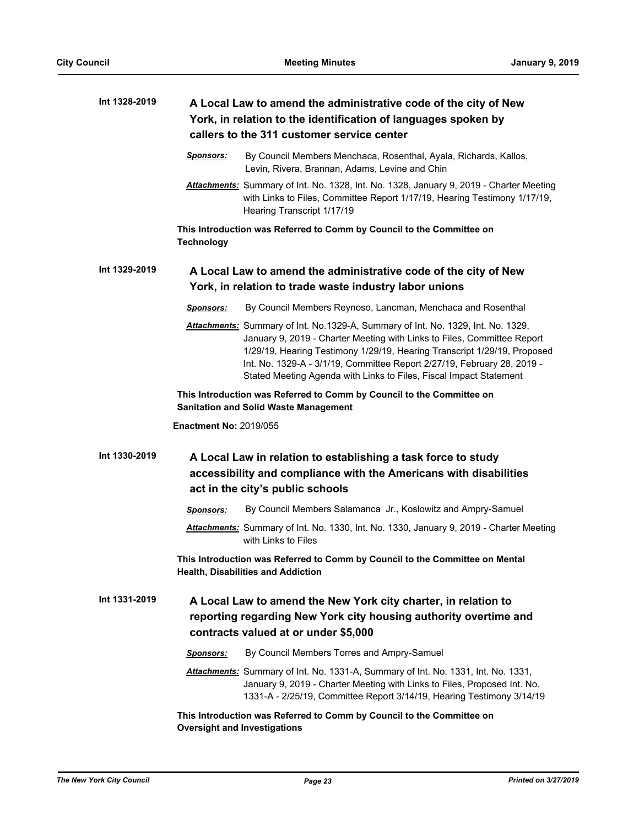| Int 1328-2019 | A Local Law to amend the administrative code of the city of New<br>York, in relation to the identification of languages spoken by<br>callers to the 311 customer service center                                                                                                                                                                                                          |
|---------------|------------------------------------------------------------------------------------------------------------------------------------------------------------------------------------------------------------------------------------------------------------------------------------------------------------------------------------------------------------------------------------------|
|               | Sponsors:<br>By Council Members Menchaca, Rosenthal, Ayala, Richards, Kallos,<br>Levin, Rivera, Brannan, Adams, Levine and Chin                                                                                                                                                                                                                                                          |
|               | Attachments: Summary of Int. No. 1328, Int. No. 1328, January 9, 2019 - Charter Meeting<br>with Links to Files, Committee Report 1/17/19, Hearing Testimony 1/17/19,<br>Hearing Transcript 1/17/19                                                                                                                                                                                       |
|               | This Introduction was Referred to Comm by Council to the Committee on<br><b>Technology</b>                                                                                                                                                                                                                                                                                               |
| Int 1329-2019 | A Local Law to amend the administrative code of the city of New<br>York, in relation to trade waste industry labor unions                                                                                                                                                                                                                                                                |
|               | By Council Members Reynoso, Lancman, Menchaca and Rosenthal<br><b>Sponsors:</b>                                                                                                                                                                                                                                                                                                          |
|               | Attachments: Summary of Int. No.1329-A, Summary of Int. No. 1329, Int. No. 1329,<br>January 9, 2019 - Charter Meeting with Links to Files, Committee Report<br>1/29/19, Hearing Testimony 1/29/19, Hearing Transcript 1/29/19, Proposed<br>Int. No. 1329-A - 3/1/19, Committee Report 2/27/19, February 28, 2019 -<br>Stated Meeting Agenda with Links to Files, Fiscal Impact Statement |
|               | This Introduction was Referred to Comm by Council to the Committee on<br><b>Sanitation and Solid Waste Management</b>                                                                                                                                                                                                                                                                    |
|               | <b>Enactment No: 2019/055</b>                                                                                                                                                                                                                                                                                                                                                            |
| Int 1330-2019 | A Local Law in relation to establishing a task force to study<br>accessibility and compliance with the Americans with disabilities<br>act in the city's public schools                                                                                                                                                                                                                   |
|               | By Council Members Salamanca Jr., Koslowitz and Ampry-Samuel<br>Sponsors:                                                                                                                                                                                                                                                                                                                |
|               | Attachments: Summary of Int. No. 1330, Int. No. 1330, January 9, 2019 - Charter Meeting<br>with Links to Files                                                                                                                                                                                                                                                                           |
|               | This Introduction was Referred to Comm by Council to the Committee on Mental<br><b>Health, Disabilities and Addiction</b>                                                                                                                                                                                                                                                                |
| Int 1331-2019 | A Local Law to amend the New York city charter, in relation to<br>reporting regarding New York city housing authority overtime and<br>contracts valued at or under \$5,000                                                                                                                                                                                                               |
|               | By Council Members Torres and Ampry-Samuel<br>Sponsors:                                                                                                                                                                                                                                                                                                                                  |
|               | Attachments: Summary of Int. No. 1331-A, Summary of Int. No. 1331, Int. No. 1331,<br>January 9, 2019 - Charter Meeting with Links to Files, Proposed Int. No.<br>1331-A - 2/25/19, Committee Report 3/14/19, Hearing Testimony 3/14/19                                                                                                                                                   |
|               | This Introduction was Referred to Comm by Council to the Committee on<br><b>Oversight and Investigations</b>                                                                                                                                                                                                                                                                             |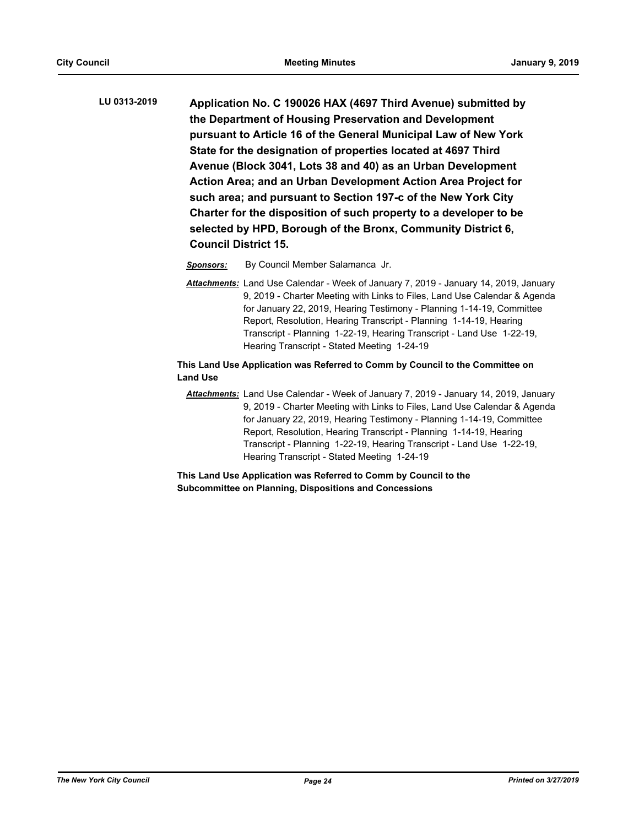**Application No. C 190026 HAX (4697 Third Avenue) submitted by the Department of Housing Preservation and Development pursuant to Article 16 of the General Municipal Law of New York State for the designation of properties located at 4697 Third Avenue (Block 3041, Lots 38 and 40) as an Urban Development Action Area; and an Urban Development Action Area Project for such area; and pursuant to Section 197-c of the New York City Charter for the disposition of such property to a developer to be selected by HPD, Borough of the Bronx, Community District 6, Council District 15. LU 0313-2019**

*Sponsors:* By Council Member Salamanca Jr.

*Attachments:* Land Use Calendar - Week of January 7, 2019 - January 14, 2019, January 9, 2019 - Charter Meeting with Links to Files, Land Use Calendar & Agenda for January 22, 2019, Hearing Testimony - Planning 1-14-19, Committee Report, Resolution, Hearing Transcript - Planning 1-14-19, Hearing Transcript - Planning 1-22-19, Hearing Transcript - Land Use 1-22-19, Hearing Transcript - Stated Meeting 1-24-19

## **This Land Use Application was Referred to Comm by Council to the Committee on Land Use**

*Attachments:* Land Use Calendar - Week of January 7, 2019 - January 14, 2019, January 9, 2019 - Charter Meeting with Links to Files, Land Use Calendar & Agenda for January 22, 2019, Hearing Testimony - Planning 1-14-19, Committee Report, Resolution, Hearing Transcript - Planning 1-14-19, Hearing Transcript - Planning 1-22-19, Hearing Transcript - Land Use 1-22-19, Hearing Transcript - Stated Meeting 1-24-19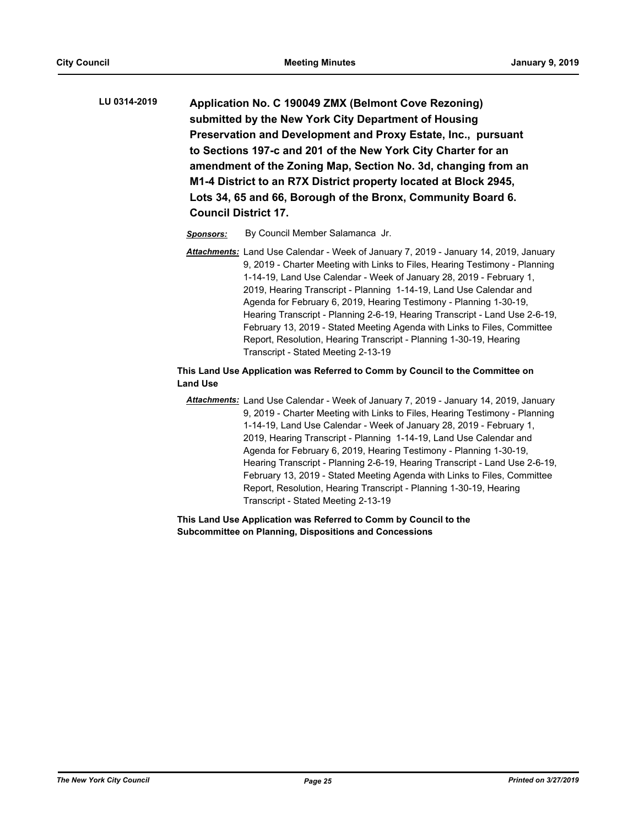**Application No. C 190049 ZMX (Belmont Cove Rezoning) submitted by the New York City Department of Housing Preservation and Development and Proxy Estate, Inc., pursuant to Sections 197-c and 201 of the New York City Charter for an amendment of the Zoning Map, Section No. 3d, changing from an M1-4 District to an R7X District property located at Block 2945, Lots 34, 65 and 66, Borough of the Bronx, Community Board 6. Council District 17. LU 0314-2019**

*Sponsors:* By Council Member Salamanca Jr.

*Attachments:* Land Use Calendar - Week of January 7, 2019 - January 14, 2019, January 9, 2019 - Charter Meeting with Links to Files, Hearing Testimony - Planning 1-14-19, Land Use Calendar - Week of January 28, 2019 - February 1, 2019, Hearing Transcript - Planning 1-14-19, Land Use Calendar and Agenda for February 6, 2019, Hearing Testimony - Planning 1-30-19, Hearing Transcript - Planning 2-6-19, Hearing Transcript - Land Use 2-6-19, February 13, 2019 - Stated Meeting Agenda with Links to Files, Committee Report, Resolution, Hearing Transcript - Planning 1-30-19, Hearing Transcript - Stated Meeting 2-13-19

# **This Land Use Application was Referred to Comm by Council to the Committee on Land Use**

*Attachments:* Land Use Calendar - Week of January 7, 2019 - January 14, 2019, January 9, 2019 - Charter Meeting with Links to Files, Hearing Testimony - Planning 1-14-19, Land Use Calendar - Week of January 28, 2019 - February 1, 2019, Hearing Transcript - Planning 1-14-19, Land Use Calendar and Agenda for February 6, 2019, Hearing Testimony - Planning 1-30-19, Hearing Transcript - Planning 2-6-19, Hearing Transcript - Land Use 2-6-19, February 13, 2019 - Stated Meeting Agenda with Links to Files, Committee Report, Resolution, Hearing Transcript - Planning 1-30-19, Hearing Transcript - Stated Meeting 2-13-19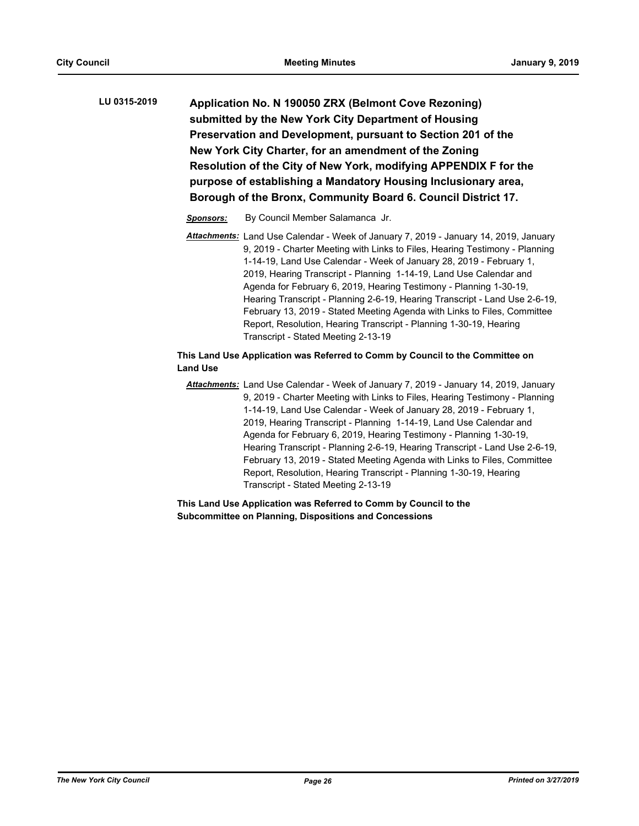**Application No. N 190050 ZRX (Belmont Cove Rezoning) submitted by the New York City Department of Housing Preservation and Development, pursuant to Section 201 of the New York City Charter, for an amendment of the Zoning Resolution of the City of New York, modifying APPENDIX F for the purpose of establishing a Mandatory Housing Inclusionary area, Borough of the Bronx, Community Board 6. Council District 17. LU 0315-2019**

- *Sponsors:* By Council Member Salamanca Jr.
- *Attachments:* Land Use Calendar Week of January 7, 2019 January 14, 2019, January 9, 2019 - Charter Meeting with Links to Files, Hearing Testimony - Planning 1-14-19, Land Use Calendar - Week of January 28, 2019 - February 1, 2019, Hearing Transcript - Planning 1-14-19, Land Use Calendar and Agenda for February 6, 2019, Hearing Testimony - Planning 1-30-19, Hearing Transcript - Planning 2-6-19, Hearing Transcript - Land Use 2-6-19, February 13, 2019 - Stated Meeting Agenda with Links to Files, Committee Report, Resolution, Hearing Transcript - Planning 1-30-19, Hearing Transcript - Stated Meeting 2-13-19

# **This Land Use Application was Referred to Comm by Council to the Committee on Land Use**

*Attachments:* Land Use Calendar - Week of January 7, 2019 - January 14, 2019, January 9, 2019 - Charter Meeting with Links to Files, Hearing Testimony - Planning 1-14-19, Land Use Calendar - Week of January 28, 2019 - February 1, 2019, Hearing Transcript - Planning 1-14-19, Land Use Calendar and Agenda for February 6, 2019, Hearing Testimony - Planning 1-30-19, Hearing Transcript - Planning 2-6-19, Hearing Transcript - Land Use 2-6-19, February 13, 2019 - Stated Meeting Agenda with Links to Files, Committee Report, Resolution, Hearing Transcript - Planning 1-30-19, Hearing Transcript - Stated Meeting 2-13-19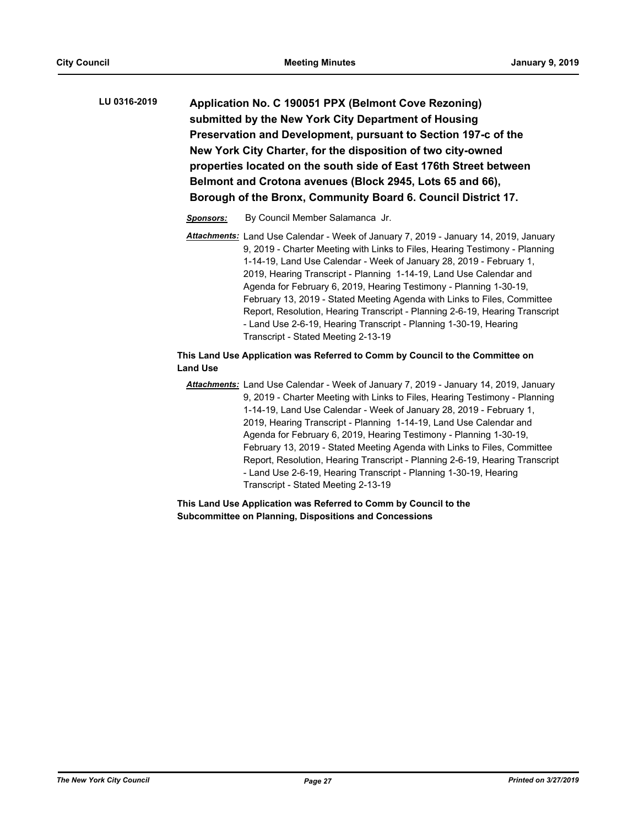| LU 0316-2019 | Application No. C 190051 PPX (Belmont Cove Rezoning)              |
|--------------|-------------------------------------------------------------------|
|              | submitted by the New York City Department of Housing              |
|              | Preservation and Development, pursuant to Section 197-c of the    |
|              | New York City Charter, for the disposition of two city-owned      |
|              | properties located on the south side of East 176th Street between |
|              | Belmont and Crotona avenues (Block 2945, Lots 65 and 66),         |
|              | Borough of the Bronx, Community Board 6. Council District 17.     |

- *Sponsors:* By Council Member Salamanca Jr.
- *Attachments:* Land Use Calendar Week of January 7, 2019 January 14, 2019, January 9, 2019 - Charter Meeting with Links to Files, Hearing Testimony - Planning 1-14-19, Land Use Calendar - Week of January 28, 2019 - February 1, 2019, Hearing Transcript - Planning 1-14-19, Land Use Calendar and Agenda for February 6, 2019, Hearing Testimony - Planning 1-30-19, February 13, 2019 - Stated Meeting Agenda with Links to Files, Committee Report, Resolution, Hearing Transcript - Planning 2-6-19, Hearing Transcript - Land Use 2-6-19, Hearing Transcript - Planning 1-30-19, Hearing Transcript - Stated Meeting 2-13-19

# **This Land Use Application was Referred to Comm by Council to the Committee on Land Use**

*Attachments:* Land Use Calendar - Week of January 7, 2019 - January 14, 2019, January 9, 2019 - Charter Meeting with Links to Files, Hearing Testimony - Planning 1-14-19, Land Use Calendar - Week of January 28, 2019 - February 1, 2019, Hearing Transcript - Planning 1-14-19, Land Use Calendar and Agenda for February 6, 2019, Hearing Testimony - Planning 1-30-19, February 13, 2019 - Stated Meeting Agenda with Links to Files, Committee Report, Resolution, Hearing Transcript - Planning 2-6-19, Hearing Transcript - Land Use 2-6-19, Hearing Transcript - Planning 1-30-19, Hearing Transcript - Stated Meeting 2-13-19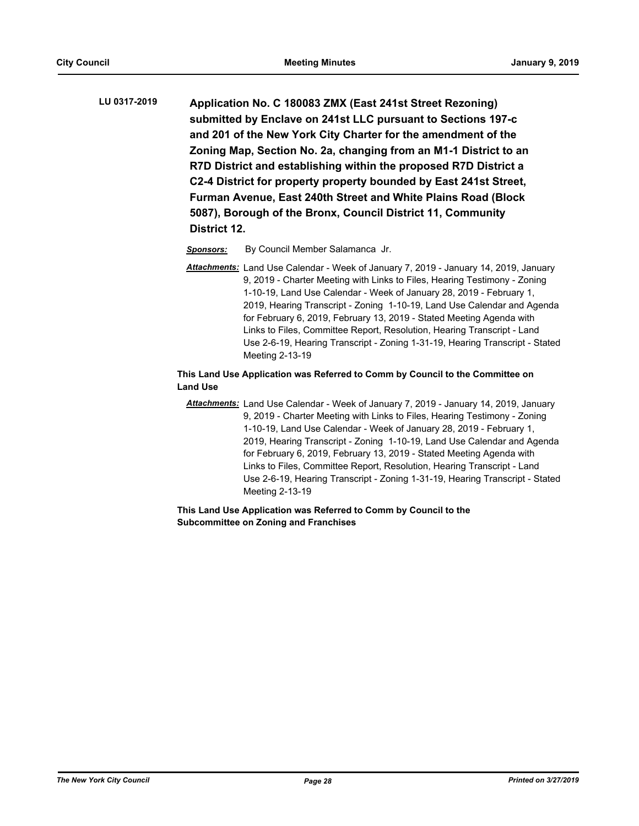**Application No. C 180083 ZMX (East 241st Street Rezoning) submitted by Enclave on 241st LLC pursuant to Sections 197-c and 201 of the New York City Charter for the amendment of the Zoning Map, Section No. 2a, changing from an M1-1 District to an R7D District and establishing within the proposed R7D District a C2-4 District for property property bounded by East 241st Street, Furman Avenue, East 240th Street and White Plains Road (Block 5087), Borough of the Bronx, Council District 11, Community District 12. LU 0317-2019**

*Sponsors:* By Council Member Salamanca Jr.

*Attachments:* Land Use Calendar - Week of January 7, 2019 - January 14, 2019, January 9, 2019 - Charter Meeting with Links to Files, Hearing Testimony - Zoning 1-10-19, Land Use Calendar - Week of January 28, 2019 - February 1, 2019, Hearing Transcript - Zoning 1-10-19, Land Use Calendar and Agenda for February 6, 2019, February 13, 2019 - Stated Meeting Agenda with Links to Files, Committee Report, Resolution, Hearing Transcript - Land Use 2-6-19, Hearing Transcript - Zoning 1-31-19, Hearing Transcript - Stated Meeting 2-13-19

# **This Land Use Application was Referred to Comm by Council to the Committee on Land Use**

*Attachments:* Land Use Calendar - Week of January 7, 2019 - January 14, 2019, January 9, 2019 - Charter Meeting with Links to Files, Hearing Testimony - Zoning 1-10-19, Land Use Calendar - Week of January 28, 2019 - February 1, 2019, Hearing Transcript - Zoning 1-10-19, Land Use Calendar and Agenda for February 6, 2019, February 13, 2019 - Stated Meeting Agenda with Links to Files, Committee Report, Resolution, Hearing Transcript - Land Use 2-6-19, Hearing Transcript - Zoning 1-31-19, Hearing Transcript - Stated Meeting 2-13-19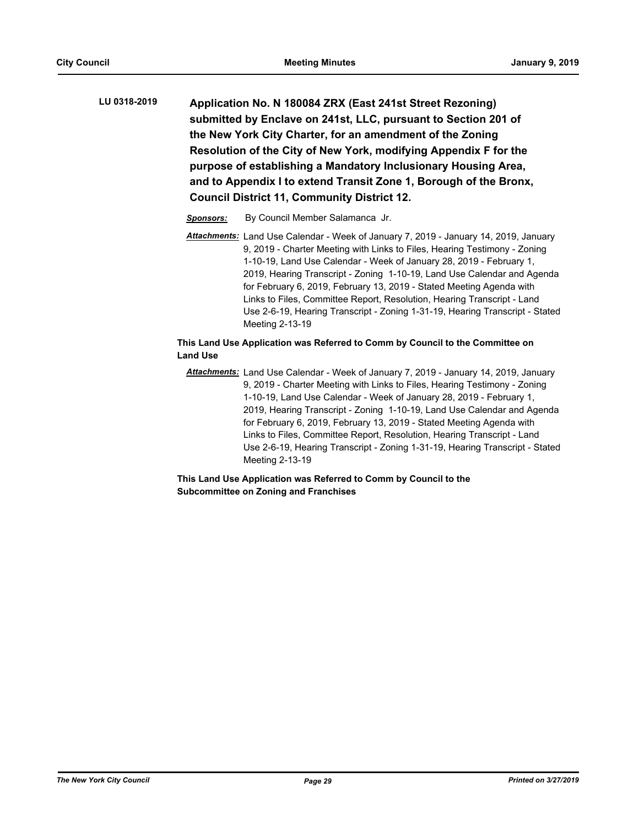- **Application No. N 180084 ZRX (East 241st Street Rezoning) submitted by Enclave on 241st, LLC, pursuant to Section 201 of the New York City Charter, for an amendment of the Zoning Resolution of the City of New York, modifying Appendix F for the purpose of establishing a Mandatory Inclusionary Housing Area, and to Appendix I to extend Transit Zone 1, Borough of the Bronx, Council District 11, Community District 12. LU 0318-2019**
	- *Sponsors:* By Council Member Salamanca Jr.
	- *Attachments:* Land Use Calendar Week of January 7, 2019 January 14, 2019, January 9, 2019 - Charter Meeting with Links to Files, Hearing Testimony - Zoning 1-10-19, Land Use Calendar - Week of January 28, 2019 - February 1, 2019, Hearing Transcript - Zoning 1-10-19, Land Use Calendar and Agenda for February 6, 2019, February 13, 2019 - Stated Meeting Agenda with Links to Files, Committee Report, Resolution, Hearing Transcript - Land Use 2-6-19, Hearing Transcript - Zoning 1-31-19, Hearing Transcript - Stated Meeting 2-13-19

# **This Land Use Application was Referred to Comm by Council to the Committee on Land Use**

*Attachments:* Land Use Calendar - Week of January 7, 2019 - January 14, 2019, January 9, 2019 - Charter Meeting with Links to Files, Hearing Testimony - Zoning 1-10-19, Land Use Calendar - Week of January 28, 2019 - February 1, 2019, Hearing Transcript - Zoning 1-10-19, Land Use Calendar and Agenda for February 6, 2019, February 13, 2019 - Stated Meeting Agenda with Links to Files, Committee Report, Resolution, Hearing Transcript - Land Use 2-6-19, Hearing Transcript - Zoning 1-31-19, Hearing Transcript - Stated Meeting 2-13-19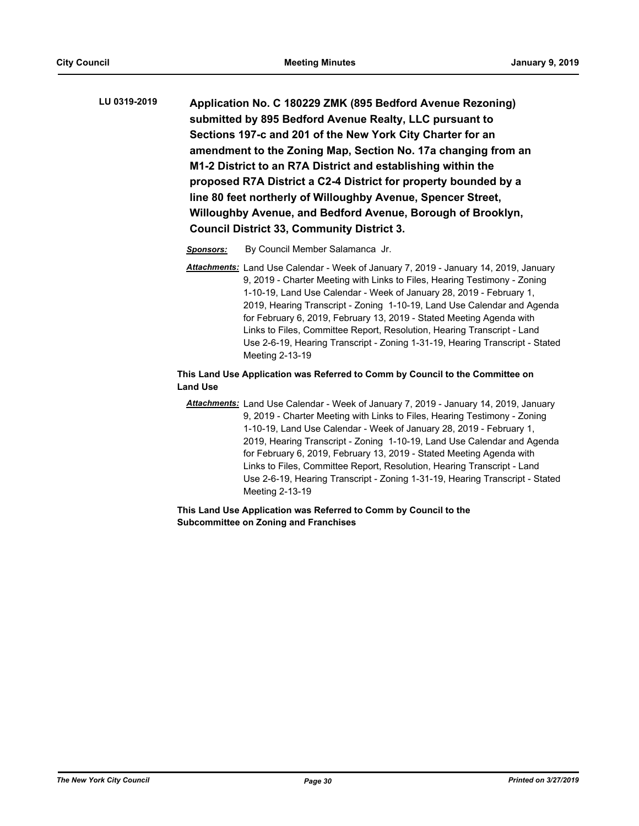**Application No. C 180229 ZMK (895 Bedford Avenue Rezoning) submitted by 895 Bedford Avenue Realty, LLC pursuant to Sections 197-c and 201 of the New York City Charter for an amendment to the Zoning Map, Section No. 17a changing from an M1-2 District to an R7A District and establishing within the proposed R7A District a C2-4 District for property bounded by a line 80 feet northerly of Willoughby Avenue, Spencer Street, Willoughby Avenue, and Bedford Avenue, Borough of Brooklyn, Council District 33, Community District 3. LU 0319-2019**

*Sponsors:* By Council Member Salamanca Jr.

*Attachments:* Land Use Calendar - Week of January 7, 2019 - January 14, 2019, January 9, 2019 - Charter Meeting with Links to Files, Hearing Testimony - Zoning 1-10-19, Land Use Calendar - Week of January 28, 2019 - February 1, 2019, Hearing Transcript - Zoning 1-10-19, Land Use Calendar and Agenda for February 6, 2019, February 13, 2019 - Stated Meeting Agenda with Links to Files, Committee Report, Resolution, Hearing Transcript - Land Use 2-6-19, Hearing Transcript - Zoning 1-31-19, Hearing Transcript - Stated Meeting 2-13-19

## **This Land Use Application was Referred to Comm by Council to the Committee on Land Use**

*Attachments:* Land Use Calendar - Week of January 7, 2019 - January 14, 2019, January 9, 2019 - Charter Meeting with Links to Files, Hearing Testimony - Zoning 1-10-19, Land Use Calendar - Week of January 28, 2019 - February 1, 2019, Hearing Transcript - Zoning 1-10-19, Land Use Calendar and Agenda for February 6, 2019, February 13, 2019 - Stated Meeting Agenda with Links to Files, Committee Report, Resolution, Hearing Transcript - Land Use 2-6-19, Hearing Transcript - Zoning 1-31-19, Hearing Transcript - Stated Meeting 2-13-19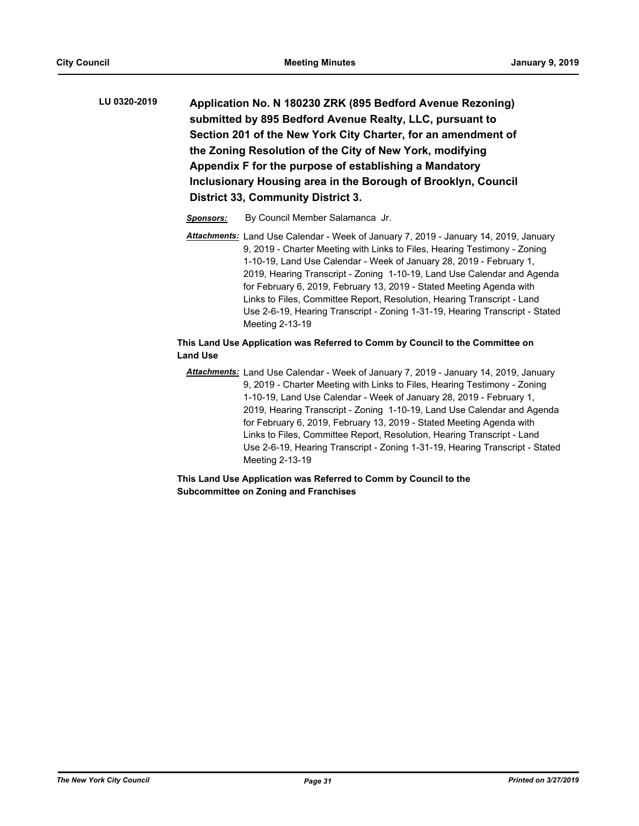- **Application No. N 180230 ZRK (895 Bedford Avenue Rezoning) submitted by 895 Bedford Avenue Realty, LLC, pursuant to Section 201 of the New York City Charter, for an amendment of the Zoning Resolution of the City of New York, modifying Appendix F for the purpose of establishing a Mandatory Inclusionary Housing area in the Borough of Brooklyn, Council District 33, Community District 3. LU 0320-2019**
	- *Sponsors:* By Council Member Salamanca Jr.
	- *Attachments:* Land Use Calendar Week of January 7, 2019 January 14, 2019, January 9, 2019 - Charter Meeting with Links to Files, Hearing Testimony - Zoning 1-10-19, Land Use Calendar - Week of January 28, 2019 - February 1, 2019, Hearing Transcript - Zoning 1-10-19, Land Use Calendar and Agenda for February 6, 2019, February 13, 2019 - Stated Meeting Agenda with Links to Files, Committee Report, Resolution, Hearing Transcript - Land Use 2-6-19, Hearing Transcript - Zoning 1-31-19, Hearing Transcript - Stated Meeting 2-13-19

# **This Land Use Application was Referred to Comm by Council to the Committee on Land Use**

*Attachments:* Land Use Calendar - Week of January 7, 2019 - January 14, 2019, January 9, 2019 - Charter Meeting with Links to Files, Hearing Testimony - Zoning 1-10-19, Land Use Calendar - Week of January 28, 2019 - February 1, 2019, Hearing Transcript - Zoning 1-10-19, Land Use Calendar and Agenda for February 6, 2019, February 13, 2019 - Stated Meeting Agenda with Links to Files, Committee Report, Resolution, Hearing Transcript - Land Use 2-6-19, Hearing Transcript - Zoning 1-31-19, Hearing Transcript - Stated Meeting 2-13-19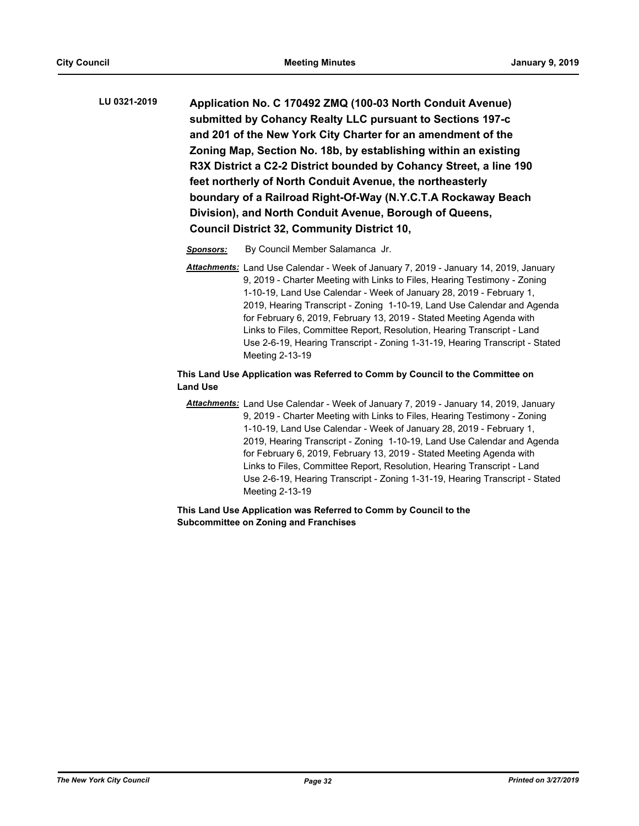**Application No. C 170492 ZMQ (100-03 North Conduit Avenue) submitted by Cohancy Realty LLC pursuant to Sections 197-c and 201 of the New York City Charter for an amendment of the Zoning Map, Section No. 18b, by establishing within an existing R3X District a C2-2 District bounded by Cohancy Street, a line 190 feet northerly of North Conduit Avenue, the northeasterly boundary of a Railroad Right-Of-Way (N.Y.C.T.A Rockaway Beach Division), and North Conduit Avenue, Borough of Queens, Council District 32, Community District 10, LU 0321-2019**

*Sponsors:* By Council Member Salamanca Jr.

*Attachments:* Land Use Calendar - Week of January 7, 2019 - January 14, 2019, January 9, 2019 - Charter Meeting with Links to Files, Hearing Testimony - Zoning 1-10-19, Land Use Calendar - Week of January 28, 2019 - February 1, 2019, Hearing Transcript - Zoning 1-10-19, Land Use Calendar and Agenda for February 6, 2019, February 13, 2019 - Stated Meeting Agenda with Links to Files, Committee Report, Resolution, Hearing Transcript - Land Use 2-6-19, Hearing Transcript - Zoning 1-31-19, Hearing Transcript - Stated Meeting 2-13-19

## **This Land Use Application was Referred to Comm by Council to the Committee on Land Use**

*Attachments:* Land Use Calendar - Week of January 7, 2019 - January 14, 2019, January 9, 2019 - Charter Meeting with Links to Files, Hearing Testimony - Zoning 1-10-19, Land Use Calendar - Week of January 28, 2019 - February 1, 2019, Hearing Transcript - Zoning 1-10-19, Land Use Calendar and Agenda for February 6, 2019, February 13, 2019 - Stated Meeting Agenda with Links to Files, Committee Report, Resolution, Hearing Transcript - Land Use 2-6-19, Hearing Transcript - Zoning 1-31-19, Hearing Transcript - Stated Meeting 2-13-19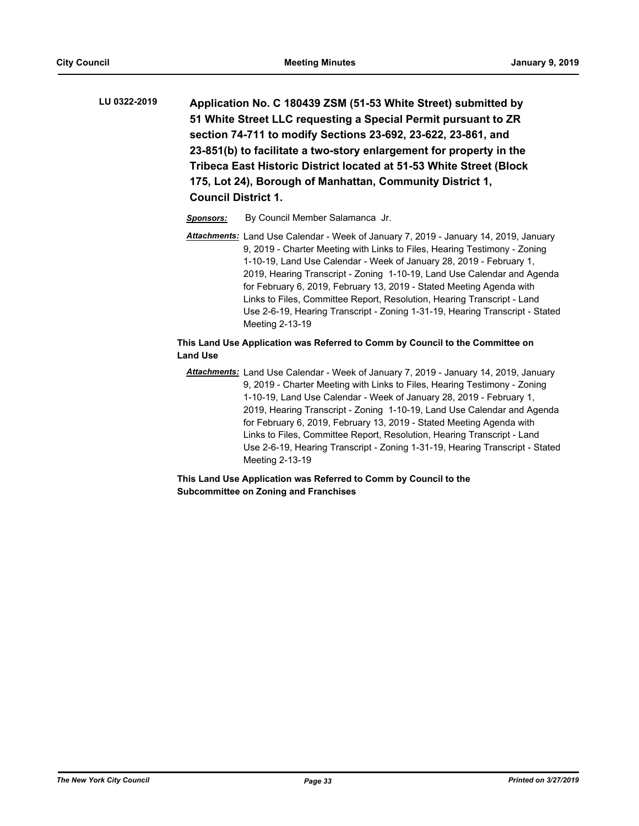| LU 0322-2019 | Application No. C 180439 ZSM (51-53 White Street) submitted by      |
|--------------|---------------------------------------------------------------------|
|              | 51 White Street LLC requesting a Special Permit pursuant to ZR      |
|              | section 74-711 to modify Sections 23-692, 23-622, 23-861, and       |
|              | 23-851(b) to facilitate a two-story enlargement for property in the |
|              | Tribeca East Historic District located at 51-53 White Street (Block |
|              | 175, Lot 24), Borough of Manhattan, Community District 1,           |
|              | <b>Council District 1.</b>                                          |

*Sponsors:* By Council Member Salamanca Jr.

*Attachments:* Land Use Calendar - Week of January 7, 2019 - January 14, 2019, January 9, 2019 - Charter Meeting with Links to Files, Hearing Testimony - Zoning 1-10-19, Land Use Calendar - Week of January 28, 2019 - February 1, 2019, Hearing Transcript - Zoning 1-10-19, Land Use Calendar and Agenda for February 6, 2019, February 13, 2019 - Stated Meeting Agenda with Links to Files, Committee Report, Resolution, Hearing Transcript - Land Use 2-6-19, Hearing Transcript - Zoning 1-31-19, Hearing Transcript - Stated Meeting 2-13-19

# **This Land Use Application was Referred to Comm by Council to the Committee on Land Use**

*Attachments:* Land Use Calendar - Week of January 7, 2019 - January 14, 2019, January 9, 2019 - Charter Meeting with Links to Files, Hearing Testimony - Zoning 1-10-19, Land Use Calendar - Week of January 28, 2019 - February 1, 2019, Hearing Transcript - Zoning 1-10-19, Land Use Calendar and Agenda for February 6, 2019, February 13, 2019 - Stated Meeting Agenda with Links to Files, Committee Report, Resolution, Hearing Transcript - Land Use 2-6-19, Hearing Transcript - Zoning 1-31-19, Hearing Transcript - Stated Meeting 2-13-19